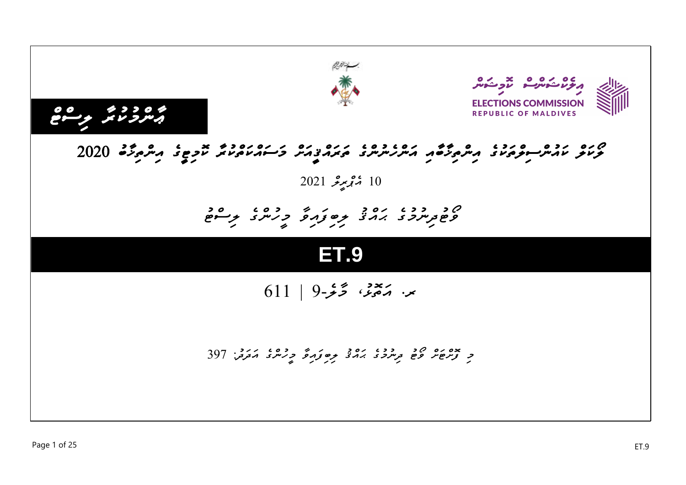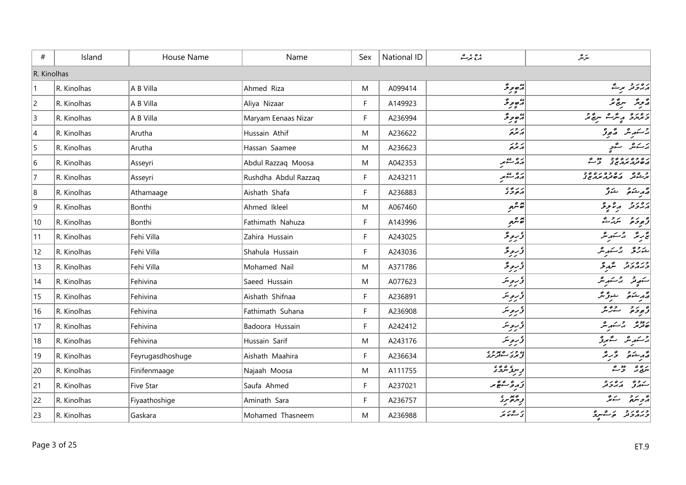| #               | Island      | House Name       | Name                 | Sex | National ID | ، ه ، ره<br>مره برگ                 | ىئرىتر                                        |
|-----------------|-------------|------------------|----------------------|-----|-------------|-------------------------------------|-----------------------------------------------|
| R. Kinolhas     |             |                  |                      |     |             |                                     |                                               |
| 1               | R. Kinolhas | A B Villa        | Ahmed Riza           | M   | A099414     | نه حوځه<br>د                        | أروء و مرتد                                   |
| $\vert$ 2       | R. Kinolhas | A B Villa        | Aliya Nizaar         | F   | A149923     | پرھ جر محر                          |                                               |
| 3               | R. Kinolhas | A B Villa        | Maryam Eenaas Nizar  | F   | A236994     | رچمو څر                             |                                               |
| $\vert 4$       | R. Kinolhas | Arutha           | Hussain Athif        | M   | A236622     | ر ور<br>مرمومی                      | جا يمكن محيوفر                                |
| 5               | R. Kinolhas | Arutha           | Hassan Saamee        | M   | A236623     | ر ور<br>مربره                       | برَسك شمر                                     |
| $6\overline{6}$ | R. Kinolhas | Asseyri          | Abdul Razzaq Moosa   | M   | A042353     | لرەپىر                              |                                               |
| 7               | R. Kinolhas | Asseyri          | Rushdha Abdul Razzaq | F   | A243211     | لمرهر يحمير                         | و ه د مره وه ره د و<br>بر شوتر من تورم بررخ ت |
| 8               | R. Kinolhas | Athamaage        | Aishath Shafa        | F   | A236883     | ر ر د »<br>پره <del>ر</del> ر       | أَمَّ مِنْ مِنْ مِنْ وَ                       |
| $\vert$ 9       | R. Kinolhas | Bonthi           | Ahmed Ikleel         | M   | A067460     | لقسمو                               | أرورو أراموق                                  |
| 10              | R. Kinolhas | Bonthi           | Fathimath Nahuza     | F   | A143996     | لقسمر                               | أزُّهِ وَ مَنْ اللَّهُ اللَّهُ عَلَيْهِ       |
| 11              | R. Kinolhas | Fehi Villa       | Zahira Hussain       | F   | A243025     | ۇروڭر                               | چ <i>رینگ برگست</i> هریش                      |
| 12              | R. Kinolhas | Fehi Villa       | Shahula Hussain      | F   | A243036     | ۇر <sub>ەر</sub> ۇ                  | الدوم وكسمه ش                                 |
| 13              | R. Kinolhas | Fehi Villa       | Mohamed Nail         | M   | A371786     | ۇر <sub>ەر</sub> ۇ                  | ورەرو شهر                                     |
| 14              | R. Kinolhas | Fehivina         | Saeed Hussain        | M   | A077623     | ۇر <sub>ە</sub> بىر                 | سىھەقىر برقسىتىرىش                            |
| 15              | R. Kinolhas | Fehivina         | Aishath Shifnaa      | F   | A236891     | ۇروپىر<br>مەم                       |                                               |
| 16              | R. Kinolhas | Fehivina         | Fathimath Suhana     | F   | A236908     | ۇروپىر<br>مەم                       | تو برد و دیگر                                 |
| 17              | R. Kinolhas | Fehivina         | Badoora Hussain      | F   | A242412     | ۇروپر<br>مەم                        | ردده و در شهر مثل                             |
| 18              | R. Kinolhas | Fehivina         | Hussain Sarif        | M   | A243176     | ۇر <sub>جو</sub> ىتر                | 2سىمەمىر مەسىر<br>                            |
| 19              | R. Kinolhas | Feyrugasdhoshuge | Aishath Maahira      | F   | A236634     | ده و د اه دو و د<br>افر بوی سوتوبوی | أقهر خنقى الحرابكر                            |
| 20              | R. Kinolhas | Finifenmaage     | Najaah Moosa         | M   | A111755     | اربيد مقرو                          | بروه ودع                                      |
| 21              | R. Kinolhas | Five Star        | Saufa Ahmed          | F   | A237021     | ىز مەھ سىقى بىر                     | سەدىق<br>پروژو                                |
| 22              | R. Kinolhas | Fiyaathoshige    | Aminath Sara         | F.  | A236757     | و پھر ۽<br>پر مربو                  | أرمح سنوسكر                                   |
| 23              | R. Kinolhas | Gaskara          | Mohamed Thasneem     | M   | A236988     | ر 2 مەندىر                          | ورەرو روسو                                    |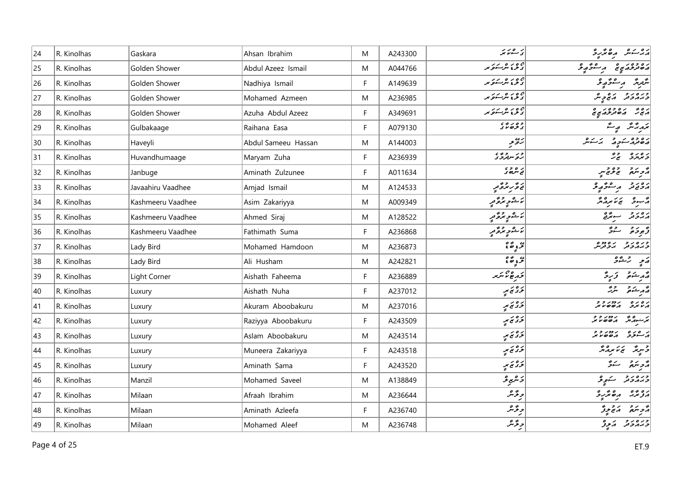| 24 | R. Kinolhas | Gaskara           | Ahsan Ibrahim       | M           | A243300 | ئەشقەتتە                                                                                 | وروستر مقتررة                                                                                         |
|----|-------------|-------------------|---------------------|-------------|---------|------------------------------------------------------------------------------------------|-------------------------------------------------------------------------------------------------------|
| 25 | R. Kinolhas | Golden Shower     | Abdul Azeez Ismail  | M           | A044766 | ە يە بەر يەر<br>ئەمرى مىر سۇھ <sub>ر</sub> ىيە                                           | גם כפגם בייכוב                                                                                        |
| 26 | R. Kinolhas | Golden Shower     | Nadhiya Ismail      | F           | A149639 | ە مەر ھەسەر<br>ئەمرى مىرسىۋىمىر                                                          | لترمرش وبالمحوري                                                                                      |
| 27 | R. Kinolhas | Golden Shower     | Mohamed Azmeen      | M           | A236985 | ە ە رەپەر<br>ئەمرى مىرسۇھ بىر                                                            |                                                                                                       |
| 28 | R. Kinolhas | Golden Shower     | Azuha Abdul Azeez   | F           | A349691 | ە يە مەرى <i>سى بىر</i>                                                                  | גפי גפיפינים                                                                                          |
| 29 | R. Kinolhas | Gulbakaage        | Raihana Easa        | F.          | A079130 | و ه ر پر پر<br>د <del>ن</del> ره نړۍ                                                     | بمدينه ريثه                                                                                           |
| 30 | R. Kinolhas | Haveyli           | Abdul Sameeu Hassan | M           | A144003 | ریمو                                                                                     | גפנג בוכג גבות                                                                                        |
| 31 | R. Kinolhas | Huvandhumaage     | Maryam Zuha         | F           | A236939 | و ر<br>ره سربرو د                                                                        | ב בחבר בי                                                                                             |
| 32 | R. Kinolhas | Janbuge           | Aminath Zulzunee    | F           | A011634 | ر ۵ ۶ ء<br>قع سر <i>ھ ی</i>                                                              | أثرم تركيم المعجم المحمد المحمد المحمد المحمد المحمد المحمد المحمد المحمد المحمد المحمد المحمد المحمد |
| 33 | R. Kinolhas | Javaahiru Vaadhee | Amjad Ismail        | M           | A124533 | ئے قرىر ترقى تىر                                                                         | גם גב גם כבוד ב                                                                                       |
| 34 | R. Kinolhas | Kashmeeru Vaadhee | Asim Zakariyya      | M           | A009349 | ر شوچه ترځ تې <sub>ر</sub>                                                               | האייכ ביצאת                                                                                           |
| 35 | R. Kinolhas | Kashmeeru Vaadhee | Ahmed Siraj         | M           | A128522 | ئەشقىر برۇ تېر                                                                           | رەر ئەر                                                                                               |
| 36 | R. Kinolhas | Kashmeeru Vaadhee | Fathimath Suma      | $\mathsf F$ | A236868 | ر شوچه پروګور<br>ماشوچ پروګو                                                             | توجوجو سنوتح                                                                                          |
| 37 | R. Kinolhas | Lady Bird         | Mohamed Hamdoon     | M           | A236873 | $\left  \begin{smallmatrix} 2 & 2 & 2 \ 2 & 2 & 3 \ 2 & 2 & 3 \end{smallmatrix} \right $ | ورەرو رەپوە<br><i>وپەم</i> وتر پروترس                                                                 |
| 38 | R. Kinolhas | Lady Bird         | Ali Husham          | M           | A242821 | $rac{1}{2}$                                                                              | مَرِ جَمْعَة ح                                                                                        |
| 39 | R. Kinolhas | Light Corner      | Aishath Faheema     | $\mathsf F$ | A236889 | لجروه عكر                                                                                | وأرشكتم وكرو                                                                                          |
| 40 | R. Kinolhas | Luxury            | Aishath Nuha        | F           | A237012 | ره ر<br>  <del>ز</del> ر نم س                                                            | سرجر<br>پھر مشتم                                                                                      |
| 41 | R. Kinolhas | Luxury            | Akuram Aboobakuru   | M           | A237016 | تره تر سر<br>مرد سی                                                                      | ەرە برە<br>77/77/7                                                                                    |
| 42 | R. Kinolhas | Luxury            | Raziyya Aboobakuru  | F           | A243509 | ره بر<br>حری تنمی                                                                        | נכני כ<br>גם סיטיב<br>بر ب ه ه<br>بر ب در در                                                          |
| 43 | R. Kinolhas | Luxury            | Aslam Aboobakuru    | M           | A243514 | ژه ژبې<br>  ژژبې پ                                                                       | 77777<br>ىر ھېچە ۋ                                                                                    |
| 44 | R. Kinolhas | Luxury            | Muneera Zakariyya   | $\mathsf F$ | A243518 | ره بر<br>حری تنمی                                                                        | 3 يېڭىر ئەنمىر ئىر                                                                                    |
| 45 | R. Kinolhas | Luxury            | Aminath Sama        | F           | A243520 | ره ر<br>حری تم سٍ                                                                        | ړ څخه سو شو                                                                                           |
| 46 | R. Kinolhas | Manzil            | Mohamed Saveel      | M           | A138849 | ر م <sub>عمو</sub> ر                                                                     | ورەرو سەرو                                                                                            |
| 47 | R. Kinolhas | Milaan            | Afraah Ibrahim      | M           | A236644 | ادقيقه                                                                                   | أرومه ره مرد                                                                                          |
| 48 | R. Kinolhas | Milaan            | Aminath Azleefa     | F.          | A236740 | لحرقم تكر                                                                                | أأروبتهم أأتجمع وتحر                                                                                  |
| 49 | R. Kinolhas | Milaan            | Mohamed Aleef       | M           | A236748 | د د څمک                                                                                  | ورەر ئەرۋ                                                                                             |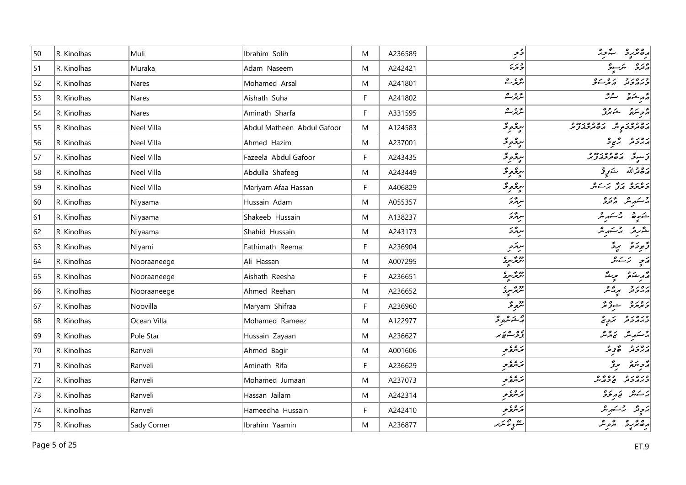| 50 | R. Kinolhas | Muli        | Ibrahim Solih              | M         | A236589 | قرمر                            |                                                   |
|----|-------------|-------------|----------------------------|-----------|---------|---------------------------------|---------------------------------------------------|
| 51 | R. Kinolhas | Muraka      | Adam Naseem                | M         | A242421 | ويرر                            | أروه سرباره                                       |
| 52 | R. Kinolhas | Nares       | Mohamed Arsal              | M         | A241801 | ىئر پر م                        | ورەرو رەپ                                         |
| 53 | R. Kinolhas | Nares       | Aishath Suha               | F         | A241802 | يىمى ھ                          | و ديگر ديگر<br>مرگ سر                             |
| 54 | R. Kinolhas | Nares       | Aminath Sharfa             | F         | A331595 | پڑ پڑ ہے                        | و پر دور<br>مرکز شمر                              |
| 55 | R. Kinolhas | Neel Villa  | Abdul Matheen Abdul Gafoor | M         | A124583 | سروگروگر                        | ן 2010 קורב בין 2010.<br>הסנקקפית הסנקות ג        |
| 56 | R. Kinolhas | Neel Villa  | Ahmed Hazim                | ${\sf M}$ | A237001 | سرچە ئەگە<br>ئ                  | رەرد ئېرو                                         |
| 57 | R. Kinolhas | Neel Villa  | Fazeela Abdul Gafoor       | F         | A243435 | ىبرىۋىرگە<br>ئ                  | ى ئەرەبەدە دەردە<br>ئىسىرى ھەمرىمەتى بىر          |
| 58 | R. Kinolhas | Neel Villa  | Abdulla Shafeeq            | M         | A243449 | سرچە ئ <sup>ۇ</sup>             | پرې قرالله شکور تو                                |
| 59 | R. Kinolhas | Neel Villa  | Mariyam Afaa Hassan        | F         | A406829 | ىبرىۋىرگە<br>ئ <sup>ە</sup>     | دەرە رۇ رىك                                       |
| 60 | R. Kinolhas | Niyaama     | Hussain Adam               | M         | A055357 | سردر                            | جر شهر شهر محمد حر                                |
| 61 | R. Kinolhas | Niyaama     | Shakeeb Hussain            | ${\sf M}$ | A138237 | سردگر                           | شوق برسكرين                                       |
| 62 | R. Kinolhas | Niyaama     | Shahid Hussain             | M         | A243173 | سرمزځ                           | شەر بىر بەسكىرىش                                  |
| 63 | R. Kinolhas | Niyami      | Fathimath Reema            | F         | A236904 | سرپر تر                         | و و ده موځ                                        |
| 64 | R. Kinolhas | Nooraaneege | Ali Hassan                 | ${\sf M}$ | A007295 | دو په په<br>مربر س <sub>ي</sub> | پر برسکار                                         |
| 65 | R. Kinolhas | Nooraaneege | Aishath Reesha             | F         | A236651 | دو په ده<br>سرپرسرچ             |                                                   |
| 66 | R. Kinolhas | Nooraaneege | Ahmed Reehan               | M         | A236652 | تر پڑ <sub>سری</sub>            | ره رو پرچم                                        |
| 67 | R. Kinolhas | Noovilla    | Maryam Shifraa             | F         | A236960 | لترحر محمر                      | د وروبالمعون                                      |
| 68 | R. Kinolhas | Ocean Villa | Mohamed Rameez             | M         | A122977 | ومستقرعة                        | ورەرو كردى                                        |
| 69 | R. Kinolhas | Pole Star   | Hussain Zayaan             | M         | A236627 | ءو ھ <sub>ە</sub> ئەر           | جەسىر سىر ئەر                                     |
| 70 | R. Kinolhas | Ranveli     | Ahmed Bagir                | M         | A001606 | برەء                            | رەرد ئۇيز                                         |
| 71 | R. Kinolhas | Ranveli     | Aminath Rifa               | F         | A236629 | برەء                            | أأترسم برقر                                       |
| 72 | R. Kinolhas | Ranveli     | Mohamed Jumaan             | M         | A237073 | برەء                            | ور ور و وه مور<br><i>وب</i> رمر من مع <i>وه</i> س |
| 73 | R. Kinolhas | Ranveli     | Hassan Jailam              | M         | A242314 | برەء                            | يَا سَنَسْ مَحْمَدِ وَحْرَ                        |
| 74 | R. Kinolhas | Ranveli     | Hameedha Hussain           | F         | A242410 | برەء                            | بەچەقلەر جاسىمبەسىر                               |
| 75 | R. Kinolhas | Sady Corner | Ibrahim Yaamin             | M         | A236877 | لسوء تمكر                       | أرەنزرو تزدىر                                     |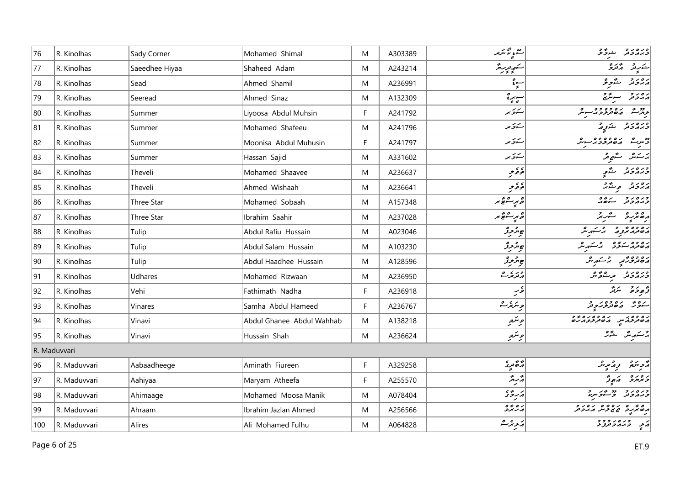| 76           | R. Kinolhas  | Sady Corner    | Mohamed Shimal            | M         | A303389 | سكوية مكربير                            | ورەرو شەھر                                                                                                                                                                                                                       |
|--------------|--------------|----------------|---------------------------|-----------|---------|-----------------------------------------|----------------------------------------------------------------------------------------------------------------------------------------------------------------------------------------------------------------------------------|
| 77           | R. Kinolhas  | Saeedhee Hiyaa | Shaheed Adam              | ${\sf M}$ | A243214 | سەر بەر بەر<br>ئەسىر بەر                | شەرىق ئەترى                                                                                                                                                                                                                      |
| 78           | R. Kinolhas  | Sead           | Ahmed Shamil              | M         | A236991 | $\frac{1}{2}$                           | رەرو ئەدبى                                                                                                                                                                                                                       |
| 79           | R. Kinolhas  | Seeread        | Ahmed Sinaz               | M         | A132309 | سومبره<br>پوځ                           | أرەر ئەركىمى                                                                                                                                                                                                                     |
| 80           | R. Kinolhas  | Summer         | Liyoosa Abdul Muhsin      | F         | A241792 | سەير                                    |                                                                                                                                                                                                                                  |
| 81           | R. Kinolhas  | Summer         | Mohamed Shafeeu           | M         | A241796 | سەدىر                                   | ورەرو شرور                                                                                                                                                                                                                       |
| 82           | R. Kinolhas  | Summer         | Moonisa Abdul Muhusin     | F         | A241797 | سەئەسە                                  |                                                                                                                                                                                                                                  |
| 83           | R. Kinolhas  | Summer         | Hassan Sajid              | ${\sf M}$ | A331602 | سەدىر                                   | بر سەشقە سىقىي قىر                                                                                                                                                                                                               |
| 84           | R. Kinolhas  | Theveli        | Mohamed Shaavee           | ${\sf M}$ | A236637 | ءء                                      | وره دو شگي                                                                                                                                                                                                                       |
| 85           | R. Kinolhas  | Theveli        | Ahmed Wishaah             | ${\sf M}$ | A236641 | ء ء مر                                  | ره رو در و شکر                                                                                                                                                                                                                   |
| 86           | R. Kinolhas  | Three Star     | Mohamed Sobaah            | M         | A157348 | <sub>قومبر</sub> معظم مر                | وره رو دره و                                                                                                                                                                                                                     |
| 87           | R. Kinolhas  | Three Star     | Ibrahim Saahir            | M         | A237028 | <sub>م</sub> حمدٍ مستحق <sup>ى</sup> مد | رەنزىر ئىرىز                                                                                                                                                                                                                     |
| 88           | R. Kinolhas  | Tulip          | Abdul Rafiu Hussain       | M         | A023046 | ھوتر موبۇ                               | גם כם מי היו כל היו היו היו בין היו היו בין היו היו בין היו בין היו בין היו בין היו בין היו בין היו בין היו בי                                                                                                                   |
| 89           | R. Kinolhas  | Tulip          | Abdul Salam Hussain       | M         | A103230 | جو مر محر بۇ                            | رە دە رە ەسكىرىش                                                                                                                                                                                                                 |
| $ 90\rangle$ | R. Kinolhas  | Tulip          | Abdul Haadhee Hussain     | M         | A128596 | ويرمرز                                  | رەدەپر برخىر                                                                                                                                                                                                                     |
| 91           | R. Kinolhas  | <b>Udhares</b> | Mohamed Rizwaan           | ${\sf M}$ | A236950 | د ر ، م<br>مرمرسه                       | ورەرو برخوش                                                                                                                                                                                                                      |
| 92           | R. Kinolhas  | Vehi           | Fathimath Nadha           | F         | A236918 | ه<br>حرب                                | قَەدە ئىق                                                                                                                                                                                                                        |
| 93           | R. Kinolhas  | Vinares        | Samha Abdul Hameed        | F         | A236767 | <sub>ع</sub> سر پر م                    | ره ده ده ده در د<br>سرد ده مورد در                                                                                                                                                                                               |
| 94           | R. Kinolhas  | Vinavi         | Abdul Ghanee Abdul Wahhab | M         | A138218 | حريترجر                                 | ן פרסבר יין בספר בסבר בריין בריין בריין בריין בריין בריין בריין בריין בריין בריין בריין בריין בריין בריין בריי<br>המסינק בריין בריין בריין בריין בריין בריין בריין בריין בריין בריין בריין בריין בריין בריין בריין בריין בריין ב |
| 95           | R. Kinolhas  | Vinavi         | Hussain Shah              | M         | A236624 | ويترو                                   | برستهر شروع                                                                                                                                                                                                                      |
|              | R. Maduvvari |                |                           |           |         |                                         |                                                                                                                                                                                                                                  |
| 96           | R. Maduvvari | Aabaadheege    | Aminath Fiureen           | F         | A329258 | ترځې دي<br>                             | ومحر المتمر والمعالج والمرامين                                                                                                                                                                                                   |
| 97           | R. Maduvvari | Aahiyaa        | Maryam Atheefa            | F         | A255570 | ومريز                                   |                                                                                                                                                                                                                                  |
| 98           | R. Maduvvari | Ahimaage       | Mohamed Moosa Manik       | ${\sf M}$ | A078404 | ەرچ                                     | כנסנים חבי הנ                                                                                                                                                                                                                    |
| 99           | R. Maduvvari | Ahraam         | Ibrahim Jazlan Ahmed      | ${\sf M}$ | A256566 | ر ه ۶ ه<br>مرکزو                        | وه نوره ده ده ده د ور                                                                                                                                                                                                            |
| 100          | R. Maduvvari | Alires         | Ali Mohamed Fulhu         | ${\sf M}$ | A064828 | ە ئە ئە ئە                              | د دره د دو <del>ر</del><br>مړين د <i>سره ترو</i> ند                                                                                                                                                                              |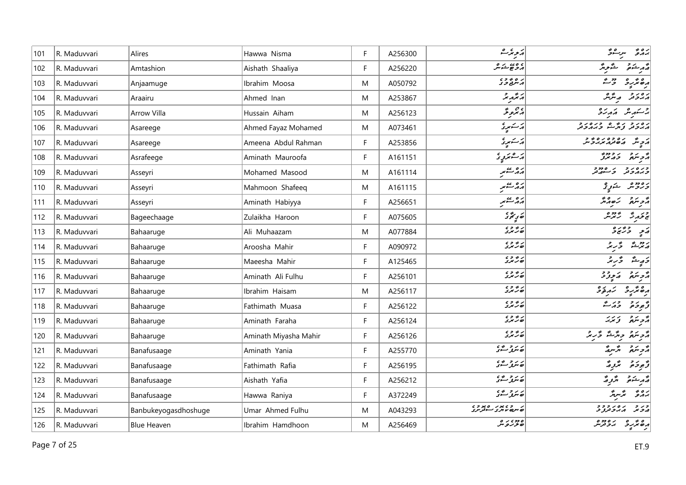| 101 | R. Maduvvari | Alires               | Hawwa Nisma           | F. | A256300 | ە ئە ئە ئە                                  | رە پە<br>سرىدۇ                                          |
|-----|--------------|----------------------|-----------------------|----|---------|---------------------------------------------|---------------------------------------------------------|
| 102 | R. Maduvvari | Amtashion            | Aishath Shaaliya      | F. | A256220 | <sup>ي وي</sup> ءَ شرمر                     | ر<br>پر پر ڪوي                                          |
| 103 | R. Maduvvari | Anjaamuge            | Ibrahim Moosa         | M  | A050792 | ر ۵ ۶ و ۲<br>مرمونج و ی                     | ەر ھەترىر <i>3</i><br>دو مح                             |
| 104 | R. Maduvvari | Araairu              | Ahmed Inan            | M  | A253867 | برئژ مرتمر                                  | بر ٥ پر و<br>م <i>ر</i> بر <del>و</del> تر<br>ەر ئىرىگر |
| 105 | R. Maduvvari | <b>Arrow Villa</b>   | Hussain Aiham         | M  | A256123 | ەممور                                       | يز شهر شهر ترکرد                                        |
| 106 | R. Maduvvari | Asareege             | Ahmed Fayaz Mohamed   | M  | A073461 | ېر کے بیری<br>پ                             |                                                         |
| 107 | R. Maduvvari | Asareege             | Ameena Abdul Rahman   | F  | A253856 | ېز سه پېړۍ<br>په                            | ر ٥ ٥ ٥ ٥ ٥ ٥ ٠<br>۵ ۵ ۵ ۵ ۶ ۶ ۶ ش<br>ە جە ئىر          |
| 108 | R. Maduvvari | Asrafeege            | Aminath Mauroofa      | F  | A161151 | ر<br>در شو برېږي                            | ה גב גבודה.<br>גביינים, בגיבור                          |
| 109 | R. Maduvvari | Asseyri              | Mohamed Masood        | M  | A161114 | ىرە يىمر                                    | و ر ه ر و<br><i>و پر</i> پر تر<br>بر ۱۶۵ و<br>تر سوړ تو |
| 110 | R. Maduvvari | Asseyri              | Mahmoon Shafeeq       | M  | A161115 | أرەبىي                                      | ر ه دو ه<br><del>د</del> رو س<br>شتور و                 |
| 111 | R. Maduvvari | Asseyri              | Aminath Habiyya       | F  | A256651 | ىرە يىمىر                                   | رَەرد<br>ړ د سره                                        |
| 112 | R. Maduvvari | Bageechaage          | Zulaikha Haroon       | F  | A075605 | ے پر پڑے<br>                                | یر دو ه<br>رنجونتر<br>تح ځرمر جگ                        |
| 113 | R. Maduvvari | Bahaaruge            | Ali Muhaazam          | Μ  | A077884 | ر و د د<br>ن <i>ن تر</i> بو د               | أتمنح ومبره                                             |
| 114 | R. Maduvvari | Bahaaruge            | Aroosha Mahir         | F  | A090972 | ر د د ،<br>ن ر بر د                         | ر دو بر<br>در برنگ<br>مەرىمە                            |
| 115 | R. Maduvvari | Bahaaruge            | Maeesha Mahir         | F  | A125465 | ر پر و ،<br>ن <i>نا تر</i> و                | أَوَمٍ حَدٌ أَوْرِيمُ                                   |
| 116 | R. Maduvvari | Bahaaruge            | Aminath Ali Fulhu     | F  | A256101 | ر د د ،<br>ن <i>ن تر</i> بو                 | ړې په پېږې                                              |
| 117 | R. Maduvvari | Bahaaruge            | Ibrahim Haisam        | M  | A256117 | ر و د د<br>ن <i>ن تر</i> بو د               | مەھەر ئەر                                               |
| 118 | R. Maduvvari | Bahaaruge            | Fathimath Muasa       | F  | A256122 | ر پر و ،<br>ن <i>ن</i> تر د                 | و مر د<br>تر مور می<br>ىر ئەشە                          |
| 119 | R. Maduvvari | Bahaaruge            | Aminath Faraha        | F  | A256124 | ر و د د<br>ن <i>ن نر</i> و د                | تزويتني وتنديمه                                         |
| 120 | R. Maduvvari | Bahaaruge            | Aminath Miyasha Mahir | F. | A256126 | ر پر و ،<br>ن <i>ن تر</i> د                 | أوجد وأراث وربا                                         |
| 121 | R. Maduvvari | Banafusaage          | Aminath Yania         | F  | A255770 | ە ئىرۇپىيى                                  | لجمحر مترد<br>ە ئەسرىگە                                 |
| 122 | R. Maduvvari | Banafusaage          | Fathimath Rafia       | F  | A256195 | ە ئىروپىيى                                  | وٌمورَمٌ<br>بڑو پڑ                                      |
| 123 | R. Maduvvari | Banafusaage          | Aishath Yafia         | F  | A256212 | ە ئىروپىيى                                  | و مرکز دیگر<br>مرکز مشوری<br>پڙ وگ                      |
| 124 | R. Maduvvari | Banafusaage          | Hawwa Raniya          | F. | A372249 | ر رو پر پر<br>ھ <b>سرت</b> ر س              | رە بە<br>بەد ب<br>بڑ سر پڑ                              |
| 125 | R. Maduvvari | Banbukeyogasdhoshuge | Umar Ahmed Fulhu      | Μ  | A043293 | ر د ، پر ر ، پر د ،<br>ن سره د بر د سوتربرد | ر ه ر و و و<br>پر ر ترو ر<br>و ر و<br>در د بر           |
| 126 | R. Maduvvari | <b>Blue Heaven</b>   | Ibrahim Hamdhoon      | M  | A256469 | ه دد پ ر<br>ح <i>ور و</i> س                 | دە ئەرە بەدە                                            |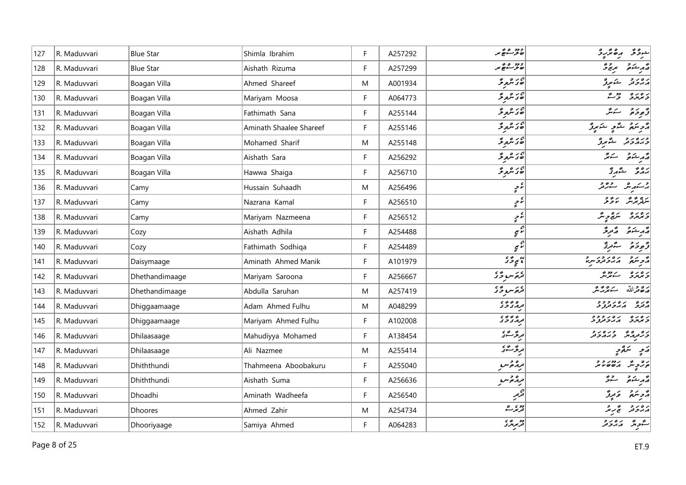| 127 | R. Maduvvari | <b>Blue Star</b> | Shimla Ibrahim          | F  | A257292 | ەددە ئەير                                               | برە ئۆرۈ<br>ا شور محمد<br>است                                                                        |
|-----|--------------|------------------|-------------------------|----|---------|---------------------------------------------------------|------------------------------------------------------------------------------------------------------|
| 128 | R. Maduvvari | <b>Blue Star</b> | Aishath Rizuma          | F. | A257299 | ەددە ئەير                                               | و مرکز در<br>مرکز شوی<br>ىرىخ                                                                        |
| 129 | R. Maduvvari | Boagan Villa     | Ahmed Shareef           | M  | A001934 | جو بر عرو محر<br>                                       | بر ه بر د<br>مربر <del>د</del> تر<br>شەمبەتى                                                         |
| 130 | R. Maduvvari | Boagan Villa     | Mariyam Moosa           | F  | A064773 | ەر ە <sub>ھو</sub> مۇ                                   | وحيثه<br>ر ه ر ه<br>د بربر د                                                                         |
| 131 | R. Maduvvari | Boagan Villa     | Fathimath Sana          | F  | A255144 | صى شرە ئەڭر                                             | ۇيودۇ سەنئە                                                                                          |
| 132 | R. Maduvvari | Boagan Villa     | Aminath Shaalee Shareef | F  | A255146 | صى متر <sub>م</sub> و محر                               | أأدو سكام المحافيل المستور والمحمد والمحمد والمحمد والمحمد والمحمد والمحمد والمحمد والمحمد والمحمد و |
| 133 | R. Maduvvari | Boagan Villa     | Mohamed Sharif          | M  | A255148 | 0 رچ هر وگر<br> -                                       | ورەرو ئەرو                                                                                           |
| 134 | R. Maduvvari | Boagan Villa     | Aishath Sara            | F  | A256292 | ەر ەرەپە ئە                                             | $\frac{2}{x^2}$ $\frac{2}{x^2}$ $\frac{2}{x^3}$                                                      |
| 135 | R. Maduvvari | Boagan Villa     | Hawwa Shaiga            | F  | A256710 | صى سر <sub>ى</sub> ئە                                   | رەپ شەرقى                                                                                            |
| 136 | R. Maduvvari | Camy             | Hussain Suhaadh         | M  | A256496 | ء<br>موج                                                | چە سەمەھر ھەم ھەمدىر                                                                                 |
| 137 | R. Maduvvari | Camy             | Nazrana Kamal           | F  | A256510 | اءَ پہ                                                  | ىرە بەش. ئەنەم                                                                                       |
| 138 | R. Maduvvari | Camy             | Mariyam Nazmeena        | F  | A256512 | تذحي                                                    | د ۱۵ ده پر مختلف می                                                                                  |
| 139 | R. Maduvvari | Cozy             | Aishath Adhila          | F  | A254488 | لقيمج                                                   | و ديد د وروگر                                                                                        |
| 140 | R. Maduvvari | Cozy             | Fathimath Sodhiqa       | F  | A254489 | $\begin{bmatrix} 1 & 1 \\ 1 & 1 \\ 1 & 1 \end{bmatrix}$ | ۇم ئەھرىچ                                                                                            |
| 141 | R. Maduvvari | Daisymaage       | Aminath Ahmed Manik     | F  | A101979 | )، سمج تر د<br>  ناسمج تر د                             | הכיתם ההכנקבית כ                                                                                     |
| 142 | R. Maduvvari | Dhethandimaage   | Mariyam Saroona         | F  | A256667 | قرەَ سو رَّ ئ                                           |                                                                                                      |
| 143 | R. Maduvvari | Dhethandimaage   | Abdulla Saruhan         | M  | A257419 | مُرەَ سو رَّ رَ                                         | سە ئەرمىشەر<br>صصرالله                                                                               |
| 144 | R. Maduvvari | Dhiggaamaage     | Adam Ahmed Fulhu        | M  | A048299 | ه ۵ پو د<br>تو <i>۸ پ</i>                               | بر ده در دود<br>پرترز پرپرترتون                                                                      |
| 145 | R. Maduvvari | Dhiggaamaage     | Mariyam Ahmed Fulhu     | F  | A102008 | ه ۵ ۵ و د<br>تو <i>۸ د 5 و</i> ی                        | נסנס נסנפפ<br><i>באתכ הגב</i> ענט                                                                    |
| 146 | R. Maduvvari | Dhilaasaage      | Mahudiyya Mohamed       | F  | A138454 | ەرگۇرىچى                                                | و ره ر و<br><i>د ب</i> رگرفر<br>ر و بر و م<br>تر بر مر                                               |
| 147 | R. Maduvvari | Dhilaasaage      | Ali Nazmee              | M  | A255414 | ىر ئۇستىر                                               | ړې ش <sub>ر</sub> ه د                                                                                |
| 148 | R. Maduvvari | Dhiththundi      | Thahmeena Aboobakuru    | F  | A255040 | ورە ئەسىر                                               |                                                                                                      |
| 149 | R. Maduvvari | Dhiththundi      | Aishath Suma            | F  | A256636 | مرور خوسو<br>  مرور خوسو                                | $rac{3}{2}$<br>$rac{3}{2}$<br>$rac{1}{2}$                                                            |
| 150 | R. Maduvvari | Dhoadhi          | Aminath Wadheefa        | F  | A256540 | ە<br>تىرىر                                              | أأروسكم وكمرو                                                                                        |
| 151 | R. Maduvvari | Dhoores          | Ahmed Zahir             | M  | A254734 | دد ،<br>تربر ک                                          | برەر ئەرىر                                                                                           |
| 152 | R. Maduvvari | Dhooriyaage      | Samiya Ahmed            | F  | A064283 | دد<br>ترسر پر د                                         | شورش مدرور                                                                                           |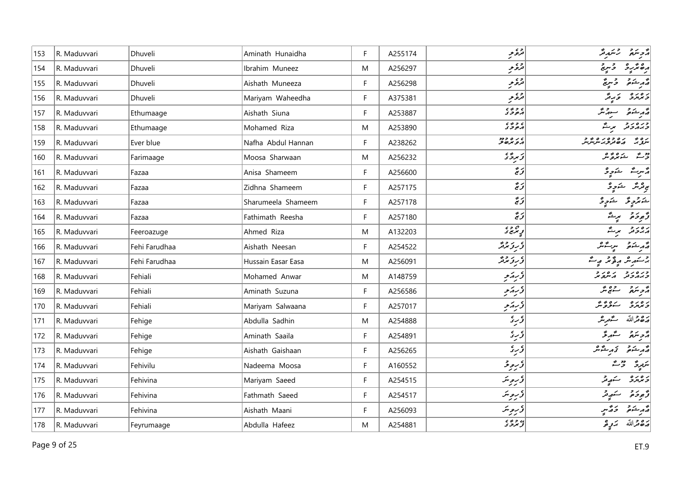| 153 | R. Maduvvari | Dhuveli       | Aminath Hunaidha   | F         | A255174 | قرة محر                    | 2 س <i>رم</i> ر مگر<br> رمحمة مترجح                                                                                                                                                                                             |
|-----|--------------|---------------|--------------------|-----------|---------|----------------------------|---------------------------------------------------------------------------------------------------------------------------------------------------------------------------------------------------------------------------------|
| 154 | R. Maduvvari | Dhuveli       | Ibrahim Muneez     | M         | A256297 | قرة محر                    | ە ھەترىرى<br>برھەترىرى<br>د سرچ<br>د سرچ                                                                                                                                                                                        |
| 155 | R. Maduvvari | Dhuveli       | Aishath Muneeza    | F         | A256298 | قرة مج                     | د مر شور<br>م<br>تر سرچ                                                                                                                                                                                                         |
| 156 | R. Maduvvari | Dhuveli       | Mariyam Waheedha   | F         | A375381 | أقرء مجر                   | ويوبره<br>ءَ ٻه تئر                                                                                                                                                                                                             |
| 157 | R. Maduvvari | Ethumaage     | Aishath Siuna      | F         | A253887 | <br>  پره و د              | پ <sub>ھرمشور</sub><br>مہر سنور                                                                                                                                                                                                 |
| 158 | R. Maduvvari | Ethumaage     | Mohamed Riza       | M         | A253890 | ن و د د<br>پره و د         | وره رو برگ                                                                                                                                                                                                                      |
| 159 | R. Maduvvari | Ever blue     | Nafha Abdul Hannan | F         | A238262 | ړ ره ووو<br>درې مرحات      | ره به ره ده ره به د<br>سرو بر مصر در سرس                                                                                                                                                                                        |
| 160 | R. Maduvvari | Farimaage     | Moosa Sharwaan     | ${\sf M}$ | A256232 | ۇىردى<br>ئ                 | در شهر در در محمد شرکت در استرات برای استان به این کار در این کار در این کار در این کار در این کار در این کار<br>مردم کار در این کار کرده کرد کرد که در این کار در این کار در این کار در این کار در این کار در این کار در این ک |
| 161 | R. Maduvvari | Fazaa         | Anisa Shameem      | F         | A256600 | ومج                        | أأرس المستوج                                                                                                                                                                                                                    |
| 162 | R. Maduvvari | Fazaa         | Zidhna Shameem     | F         | A257175 | ترتج                       | <br>  سمج قریبگر<br>ستكور                                                                                                                                                                                                       |
| 163 | R. Maduvvari | Fazaa         | Sharumeela Shameem | F         | A257178 | ترتج                       | شكرو كالمحافي                                                                                                                                                                                                                   |
| 164 | R. Maduvvari | Fazaa         | Fathimath Reesha   | F         | A257180 | ترتج                       | قهودة بريئة                                                                                                                                                                                                                     |
| 165 | R. Maduvvari | Feeroazuge    | Ahmed Riza         | ${\sf M}$ | A132203 | و چې د ۽<br>ويدي           | رەرو برگ                                                                                                                                                                                                                        |
| 166 | R. Maduvvari | Fehi Farudhaa | Aishath Neesan     | F         | A254522 | ى بەر جەنگە<br>            | ۇرىشكۇ سېشىر                                                                                                                                                                                                                    |
| 167 | R. Maduvvari | Fehi Farudhaa | Hussain Easar Easa | M         | A256091 | ئۇس <sub>ۇ</sub> ئەتىرلىگە | 2سىرىش مەقەتمە مەت                                                                                                                                                                                                              |
| 168 | R. Maduvvari | Fehiali       | Mohamed Anwar      | M         | A148759 | ۇ رەئىر                    | כנסנכ גםנכ                                                                                                                                                                                                                      |
| 169 | R. Maduvvari | Fehiali       | Aminath Suzuna     | F         | A256586 | ۇ بەرىجە                   | سەمى تىگە<br>ړځ سرچ                                                                                                                                                                                                             |
| 170 | R. Maduvvari | Fehiali       | Mariyam Salwaana   | F         | A257017 | وحرمر                      | ر ه ر ه<br><del>و</del> بوبرو<br>ىە ئەرگە                                                                                                                                                                                       |
| 171 | R. Maduvvari | Fehige        | Abdulla Sadhin     | M         | A254888 | ې<br>توري                  | سەمرىگر<br>ەھىراللە                                                                                                                                                                                                             |
| 172 | R. Maduvvari | Fehige        | Aminath Saaila     | F         | A254891 | ې<br>توريخ                 | ستهر بخ<br>أردينهم                                                                                                                                                                                                              |
| 173 | R. Maduvvari | Fehige        | Aishath Gaishaan   | F         | A256265 | <br>در بر                  | وأرشكم تجرشك                                                                                                                                                                                                                    |
| 174 | R. Maduvvari | Fehivilu      | Nadeema Moosa      | F         | A160552 | ۇروڭر                      | لتزبرة المحمدة                                                                                                                                                                                                                  |
| 175 | R. Maduvvari | Fehivina      | Mariyam Saeed      | F         | A254515 | ۇروپر                      | رەرە ئىرور                                                                                                                                                                                                                      |
| 176 | R. Maduvvari | Fehivina      | Fathmath Saeed     | F         | A254517 | ۇر <sub>ە</sub> بىر        | و محمد من المحمد المحمد المحمد المحمد المحمد المحمد المحمد المحمد المحمد المحمد المحمد المحمد المحمد                                                                                                                            |
| 177 | R. Maduvvari | Fehivina      | Aishath Maani      | F         | A256093 | ۇروپر                      | ر<br>ئەھمەسىر<br>و گرېږي.<br>مرگ                                                                                                                                                                                                |
| 178 | R. Maduvvari | Feyrumaage    | Abdulla Hafeez     | ${\sf M}$ | A254881 | ە د د د<br>كرىمرىر د       | برە تراللە بروپۇ                                                                                                                                                                                                                |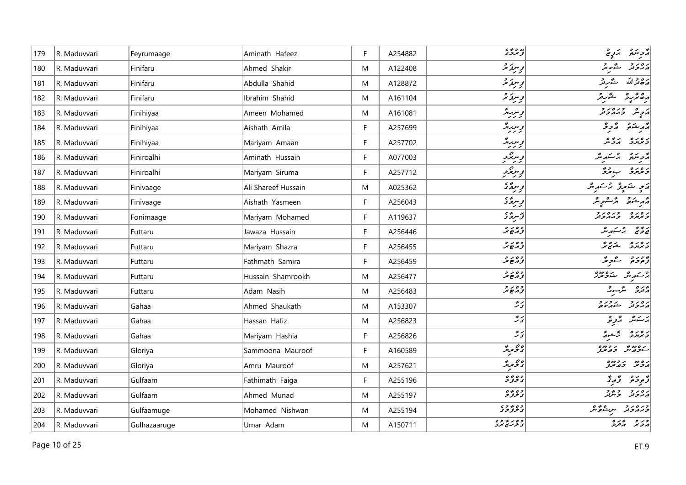| 179 | R. Maduvvari | Feyrumaage   | Aminath Hafeez      | F           | A254882 | ،، و » ،<br> تو بور <del>د</del> د | أزويتمو<br>برَوِج                                             |
|-----|--------------|--------------|---------------------|-------------|---------|------------------------------------|---------------------------------------------------------------|
| 180 | R. Maduvvari | Finifaru     | Ahmed Shakir        | M           | A122408 | وسوتر                              | ەر ئەر<br>شەر بەر                                             |
| 181 | R. Maduvvari | Finifaru     | Abdulla Shahid      | M           | A128872 | و سوتو تر                          | ەھىراللە                                                      |
| 182 | R. Maduvvari | Finifaru     | Ibrahim Shahid      | M           | A161104 | و سوتر تر                          | ە ھەترىرى<br>برھەترىرى<br>ستەرىر                              |
| 183 | R. Maduvvari | Finihiyaa    | Ameen Mohamed       | ${\sf M}$   | A161081 | و سربر پژ<br>مرس                   | و ره ر و<br><i>د ټ</i> رونر<br>مەچەشر                         |
| 184 | R. Maduvvari | Finihiyaa    | Aishath Amila       | $\mathsf F$ | A257699 | او سربر پژ<br>سنگ                  | وكركو وكركز                                                   |
| 185 | R. Maduvvari | Finihiyaa    | Mariyam Amaan       | F           | A257702 | و سربر پژ<br>سر                    | ر ه ر ه<br><del>د</del> بربرگر<br>بروه                        |
| 186 | R. Maduvvari | Finiroalhi   | Aminath Hussain     | $\mathsf F$ | A077003 | وسرچمو                             | أأوسكم بالتسرير                                               |
| 187 | R. Maduvvari | Finiroalhi   | Mariyam Siruma      | F           | A257712 | وسرچمو                             | ويوجرو سيوجرو                                                 |
| 188 | R. Maduvvari | Finivaage    | Ali Shareef Hussain | M           | A025362 | وسرچي                              | ەي ھەيدۇ الاسەر بىر                                           |
| 189 | R. Maduvvari | Finivaage    | Aishath Yasmeen     | F           | A256043 | و سرچ <sup>ء</sup><br>سرچ          | و<br>په شوه پر شوچی                                           |
| 190 | R. Maduvvari | Fonimaage    | Mariyam Mohamed     | $\mathsf F$ | A119637 | بر سرچ <sub>ک</sub>                | و ره ر د<br><i>و پ</i> رو تر<br>ر ه ر ه<br><del>ر</del> بربرگ |
| 191 | R. Maduvvari | Futtaru      | Jawaza Hussain      | F           | A256446 | وه ر د<br>زرج بر                   | ر پر پر<br>ای تو نج<br>برسەمەرىش                              |
| 192 | R. Maduvvari | Futtaru      | Mariyam Shazra      | F           | A256455 | و ه ر د<br>ز د ه مر                | ے ج بڑ<br>ر ه بر ه<br>تر <del>ب</del> ر بر ژ                  |
| 193 | R. Maduvvari | Futtaru      | Fathmath Samira     | F           | A256459 | د ه ر د<br>ز د ج بر                | ودرد شرتر                                                     |
| 194 | R. Maduvvari | Futtaru      | Hussain Shamrookh   | M           | A256477 | د ه ر د<br>ز د ج بر                | شەھ جۇمز<br>جر س <sub>ک</sub> ر میں<br>م                      |
| 195 | R. Maduvvari | Futtaru      | Adam Nasih          | M           | A256483 | و ه ء بر<br>تر <i>م</i> نغ تنر     | أروره سريبور                                                  |
| 196 | R. Maduvvari | Gahaa        | Ahmed Shaukath      | M           | A153307 | ىزچ                                | پروژبر<br>شەدرىم                                              |
| 197 | R. Maduvvari | Gahaa        | Hassan Hafiz        | M           | A256823 | ىزچ                                | ير کے مگر فوج                                                 |
| 198 | R. Maduvvari | Gahaa        | Mariyam Hashia      | F           | A256826 | ىزچ                                | رەرە شىش                                                      |
| 199 | R. Maduvvari | Gloriya      | Sammoona Mauroof    | $\mathsf F$ | A160589 | ەم بەر<br>ئەخرىرى <i>ر</i>         | ر و وو ه<br>تر <i>ه</i> بوتو<br>سەدە پىر                      |
| 200 | R. Maduvvari | Gloriya      | Amru Mauroof        | M           | A257621 | ومحبرتر                            | ן 20 בד<br>4. בריאה<br>ر و دوه<br>تر پر بوتو                  |
| 201 | R. Maduvvari | Gulfaam      | Fathimath Faiga     | $\mathsf F$ | A255196 | وه وه<br>د ترگر                    | وتموذة وترقى                                                  |
| 202 | R. Maduvvari | Gulfaam      | Ahmed Munad         | M           | A255197 | وه ۶ ه<br>کاموگر                   | ره رو و مرو<br>م.رو تر و شرقر                                 |
| 203 | R. Maduvvari | Gulfaamuge   | Mohamed Nishwan     | M           | A255194 | د ه و د د ،<br>د ترتر تر د         | سرڪو گر<br>و ر ه ر د<br>تر پر ژ تر                            |
| 204 | R. Maduvvari | Gulhazaaruge | Umar Adam           | M           | A150711 | و ہ مرید و ،<br>مح <b>رض بمر</b> ی | ور و پره<br><i>م</i> حر مگر                                   |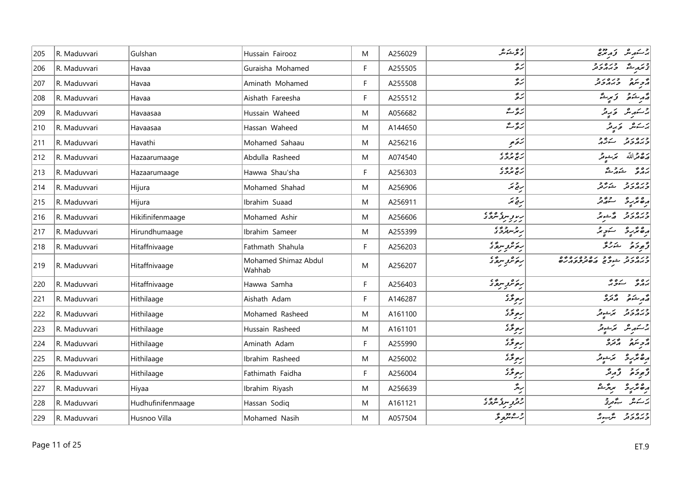| 205 | R. Maduvvari  | Gulshan           | Hussain Fairooz                | M  | A256029 | <sup>و و</sup> شترى <i>ش</i> | برسكر ترمر بينج                                                                                                                                                                                                                                                                                                                                                                                                                             |
|-----|---------------|-------------------|--------------------------------|----|---------|------------------------------|---------------------------------------------------------------------------------------------------------------------------------------------------------------------------------------------------------------------------------------------------------------------------------------------------------------------------------------------------------------------------------------------------------------------------------------------|
| 206 | R. Maduvvari  | Havaa             | Guraisha Mohamed               | F  | A255505 | رپچ                          | ا تو بر پر شه<br>ا<br>و ره ر و<br>تر پروتر                                                                                                                                                                                                                                                                                                                                                                                                  |
| 207 | R. Maduvvari  | Havaa             | Aminath Mohamed                | F. | A255508 | ريح                          | أروسي وره دو                                                                                                                                                                                                                                                                                                                                                                                                                                |
| 208 | R. Maduvvari  | Havaa             | Aishath Fareesha               | F. | A255512 | رپچ                          | ومرختم ويرخ                                                                                                                                                                                                                                                                                                                                                                                                                                 |
| 209 | R. Maduvvari  | Havaasaa          | Hussain Waheed                 | M  | A056682 | ر پۇشە                       | يزحكم مداريح                                                                                                                                                                                                                                                                                                                                                                                                                                |
| 210 | R. Maduvvari  | Havaasaa          | Hassan Waheed                  | M  | A144650 | ر پۇشە                       | برسكش كالبرقر                                                                                                                                                                                                                                                                                                                                                                                                                               |
| 211 | R. Maduvvari  | Havathi           | Mohamed Sahaau                 | M  | A256216 | ترځ چ                        | ورەرو سەپىر                                                                                                                                                                                                                                                                                                                                                                                                                                 |
| 212 | R. Maduvvari  | Hazaarumaage      | Abdulla Rasheed                | M  | A074540 | ر ۶ و ۶ ی<br>تریخ بوری       | مَدْهُ مَّرْسُومَّر                                                                                                                                                                                                                                                                                                                                                                                                                         |
| 213 | R. Maduvvari  | Hazaarumaage      | Hawwa Shau'sha                 | F  | A256303 | ر ۶ و ۶ ء<br>تر پنج بوری     | رەپ شەرقىق                                                                                                                                                                                                                                                                                                                                                                                                                                  |
| 214 | R. Maduvvari  | Hijura            | Mohamed Shahad                 | M  | A256906 | ىرقى تىر                     | وره رو دره و<br>وبردونر شورتر                                                                                                                                                                                                                                                                                                                                                                                                               |
| 215 | R. Maduvvari  | Hijura            | Ibrahim Suaad                  | M  | A256911 | رقح تئر                      | وه مرکز در دور                                                                                                                                                                                                                                                                                                                                                                                                                              |
| 216 | R. Maduvvari  | Hikifinifenmaage  | Mohamed Ashir                  | M  | A256606 | رىدو بىرۇ مەدە<br>مەمۇرىيە   | ورەرو ھىدىر                                                                                                                                                                                                                                                                                                                                                                                                                                 |
| 217 | R. Maduvvari  | Hirundhumaage     | Ibrahim Sameer                 | M  | A255399 | ر پر سرپر دی                 |                                                                                                                                                                                                                                                                                                                                                                                                                                             |
| 218 | R. Maduvvari  | Hitaffnivaage     | Fathmath Shahula               | F  | A256203 | پەنزى <sub>ر موق</sub> ى     | $\begin{array}{cc} \mathbf{1}_{1} & \mathbf{1}_{2} & \mathbf{1}_{3} & \mathbf{1}_{4} \\ \mathbf{1}_{2} & \mathbf{1}_{3} & \mathbf{1}_{4} & \mathbf{1}_{5} & \mathbf{1}_{6} \\ \mathbf{1}_{3} & \mathbf{1}_{4} & \mathbf{1}_{5} & \mathbf{1}_{6} & \mathbf{1}_{7} & \mathbf{1}_{8} \\ \mathbf{1}_{5} & \mathbf{1}_{6} & \mathbf{1}_{7} & \mathbf{1}_{8} & \mathbf{1}_{9} & \mathbf{1}_{9} \\ \mathbf{1}_{6} & \mathbf{1}_{7} & \mathbf{1}_{$ |
| 219 | R. Maduvvari  | Hitaffnivaage     | Mohamed Shimaz Abdul<br>Wahhab | M  | A256207 | پەنزى <sub>ر موق</sub> ى     |                                                                                                                                                                                                                                                                                                                                                                                                                                             |
| 220 | R. Maduvvari  | Hitaffnivaage     | Hawwa Samha                    | F  | A256403 | ىرە ئىرو بىرە ئى             | رە ئەرەپ                                                                                                                                                                                                                                                                                                                                                                                                                                    |
| 221 | R. Maduvvari  | Hithilaage        | Aishath Adam                   | F. | A146287 | رەتى<br>رىرىپى               | و شده و دره<br>مهر شده م                                                                                                                                                                                                                                                                                                                                                                                                                    |
| 222 | IR. Maduvvari | Hithilaage        | Mohamed Rasheed                | M  | A161100 | رەپچە<br>رىر                 | وره رو کرشونر<br><i>د بر بر بر</i> کر                                                                                                                                                                                                                                                                                                                                                                                                       |
| 223 | R. Maduvvari  | Hithilaage        | Hussain Rasheed                | M  | A161101 | رەپچە<br>رىر                 | ج سكر مر مركب مركز كالمحر                                                                                                                                                                                                                                                                                                                                                                                                                   |
| 224 | R. Maduvvari  | Hithilaage        | Aminath Adam                   | F  | A255990 | رەتى<br>رىرىتى               | أأروبر والمردة                                                                                                                                                                                                                                                                                                                                                                                                                              |
| 225 | R. Maduvvari  | Hithilaage        | Ibrahim Rasheed                | M  | A256002 | رەتى<br>رەترى                | ەھ <i>ترى</i> رو ترىشوتر<br>رەتمرى <sub>ر</sub> و ترىشوتر                                                                                                                                                                                                                                                                                                                                                                                   |
| 226 | R. Maduvvari  | Hithilaage        | Fathimath Faidha               | F  | A256004 | رەپچى<br>رىر                 | وَجِعَةَ وَمِثَرَ                                                                                                                                                                                                                                                                                                                                                                                                                           |
| 227 | R. Maduvvari  | Hiyaa             | Ibrahim Riyash                 | M  | A256639 | ريز                          |                                                                                                                                                                                                                                                                                                                                                                                                                                             |
| 228 | R. Maduvvari  | Hudhufinifenmaage | Hassan Sodiq                   | M  | A161121 | 32 كىلىم بىرىم.<br>مەم       | اير سىشى سىگەرچ                                                                                                                                                                                                                                                                                                                                                                                                                             |
| 229 | R. Maduvvari  | Husnoo Villa      | Mohamed Nasih                  | M  | A057504 | <sup>ح</sup> سەمبىرىدىگە     | ورەرو شهرو                                                                                                                                                                                                                                                                                                                                                                                                                                  |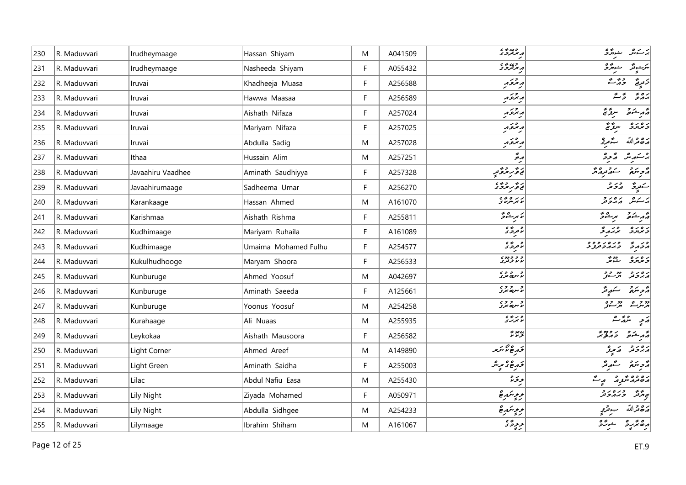| 230 | R. Maduvvari | Irudheymaage      | Hassan Shiyam        | M         | A041509 | <br>  پر بر ترڅ <sub>ک</sub>                      | پرستمبر شورگردی                             |
|-----|--------------|-------------------|----------------------|-----------|---------|---------------------------------------------------|---------------------------------------------|
| 231 | R. Maduvvari | Irudheymaage      | Nasheeda Shiyam      | F         | A055432 | و ده و د و<br>د موتور و د                         | <br> سرجوسر حورگر                           |
| 232 | R. Maduvvari | Iruvai            | Khadheeja Muasa      | F         | A256588 | مرتزعهر                                           | زَمِرِجٌ<br>دبۇر                            |
| 233 | R. Maduvvari | Iruvai            | Hawwa Maasaa         | F         | A256589 | مرتزعهر                                           | رەپە ئەس                                    |
| 234 | R. Maduvvari | Iruvai            | Aishath Nifaza       | F         | A257024 | وبخرعامر                                          | سودٌ تح<br>وشمر مشتوحه                      |
| 235 | R. Maduvvari | Iruvai            | Mariyam Nifaza       | F         | A257025 | وبخرعكمر                                          | سوژنځ<br>ر ه بر ه<br>د بربرگ                |
| 236 | R. Maduvvari | Iruvai            | Abdulla Sadig        | M         | A257028 | وبخرعه                                            | ەھىراللە<br>رگەن ھ                          |
| 237 | R. Maduvvari | Ithaa             | Hussain Alim         | ${\sf M}$ | A257251 | ويح                                               | برسكر شروع                                  |
| 238 | R. Maduvvari | Javaahiru Vaadhee | Aminath Saudhiyya    | F         | A257328 | ئے قرٌ سر تقریبہ                                  | أثر حريحهم<br>سەھەمەر ھەم                   |
| 239 | R. Maduvvari | Javaahirumaage    | Sadheema Umar        | F         | A256270 | ریم رچ دی<br>  نے قربرقری                         | سەمەرىخ<br>و ر و<br>در د بر                 |
| 240 | R. Maduvvari | Karankaage        | Hassan Ahmed         | M         | A161070 | ر ره و د ،<br>ما <del>ب</del> ر مرتز <sub>ک</sub> | يز کے مگر مگر دیگر دیگر                     |
| 241 | R. Maduvvari | Karishmaa         | Aishath Rishma       | F         | A255811 | ئە بىر شەمح                                       | وكركو برقو                                  |
| 242 | R. Maduvvari | Kudhimaage        | Mariyam Ruhaila      | F         | A161089 | د و ه ،<br>ما تورد د                              | بربر بمرتز<br>ر ه ر ه<br><del>ر</del> بربرگ |
| 243 | R. Maduvvari | Kudhimaage        | Umaima Mohamed Fulhu | F         | A254577 | د ورځ<br>مورگو                                    | و ر ه ر و و و<br>تر بر بر ترو نر<br>وزمرة   |
| 244 | R. Maduvvari | Kukulhudhooge     | Maryam Shoora        | F         | A256533 | و و ووو ،<br>ما ما مل تور                         | ر ه بر ه<br><del>د</del> بربر د<br>يتنقيحه  |
| 245 | R. Maduvvari | Kunburuge         | Ahmed Yoosuf         | ${\sf M}$ | A042697 | د د د د د<br>ما سر <del>ه</del> مرد               | دد بر د<br>بر 2 د ج<br>مربر <del>5</del> تر |
| 246 | R. Maduvvari | Kunburuge         | Aminath Saeeda       | F         | A125661 | د د د د د<br>ما سرچ برد                           | أرمز<br>سكور قر                             |
| 247 | R. Maduvvari | Kunburuge         | Yoonus Yoosuf        | M         | A254258 | د د د د د<br>ما سرچ برد                           | دد حره<br>مرسسو<br>دد د ه                   |
| 248 | R. Maduvvari | Kurahaage         | Ali Nuaas            | ${\sf M}$ | A255935 | ح پر پر پر<br>ما تیمرگری                          | أوسم المتعارف                               |
| 249 | R. Maduvvari | Leykokaa          | Aishath Mausoora     | F         | A256582 | رے پو بر<br>مورد ر                                | و دورو دورو<br>مهر شوم حمده مر              |
| 250 | R. Maduvvari | Light Corner      | Ahmed Areef          | ${\sf M}$ | A149890 | لجدء عند                                          | أرور و المعرفر                              |
| 251 | R. Maduvvari | Light Green       | Aminath Saidha       | F         | A255003 | ځه څو څو سپه شر                                   | أرمح سكر ستمرير                             |
| 252 | R. Maduvvari | Lilac             | Abdul Nafiu Easa     | M         | A255430 | وڈرا                                              | - 222 232 0707                              |
| 253 | R. Maduvvari | Lily Night        | Ziyada Mohamed       | F         | A050971 | لوپوسره<br>ر <sub>ئی</sub> سر                     | <br>  په دګر د د د د د                      |
| 254 | R. Maduvvari | <b>Lily Night</b> | Abdulla Sidhgee      | ${\sf M}$ | A254233 | وويئدة                                            | <mark>برة ق</mark> رالله<br>سبوقرتمح        |
| 255 | R. Maduvvari | Lilymaage         | Ibrahim Shiham       | M         | A161067 | ووڈ ء<br>ر                                        | رەپر دە                                     |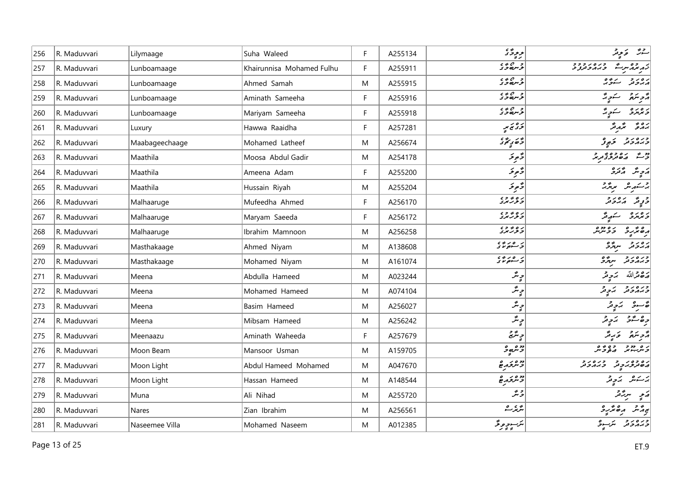| 256 | R. Maduvvari | Lilymaage      | Suha Waleed               | F  | A255134 | ووژء                                      |                                       |
|-----|--------------|----------------|---------------------------|----|---------|-------------------------------------------|---------------------------------------|
| 257 | R. Maduvvari | Lunboamaage    | Khairunnisa Mohamed Fulhu | F. | A255911 | $558 - 3$                                 | زروه سرت وره دودو                     |
| 258 | R. Maduvvari | Lunboamaage    | Ahmed Samah               | M  | A255915 | و په ۵ و ،<br>مرسمه تر د                  | ره رو دره و                           |
| 259 | R. Maduvvari | Lunboamaage    | Aminath Sameeha           | F  | A255916 | 5500                                      | أأروسه<br>سەرپە                       |
| 260 | R. Maduvvari | Lunboamaage    | Mariyam Sameeha           | F  | A255918 | و پر ۵ پر ۽<br>موسي وي                    | سەرپە<br>وبروره                       |
| 261 | R. Maduvvari | Luxury         | Hawwa Raaidha             | F  | A257281 | تره تر<br>مرد سي                          | ر ه بر<br>برگر                        |
| 262 | R. Maduvvari | Maabageechaage | Mohamed Latheef           | M  | A256674 | د ده د مور<br>د ځوند                      | ورەر دىپرو                            |
| 263 | R. Maduvvari | Maathila       | Moosa Abdul Gadir         | M  | A254178 | ۇ <sub>م</sub> وخە                        |                                       |
| 264 | R. Maduvvari | Maathila       | Ameena Adam               | F  | A255200 | قرموخر                                    | أرويتر أروده                          |
| 265 | R. Maduvvari | Maathila       | Hussain Riyah             | M  | A255204 | ځېږځه                                     | 2 سەر سىر بىرلىرىمىتە<br>مەسىر        |
| 266 | R. Maduvvari | Malhaaruge     | Mufeedha Ahmed            | F  | A256170 | ر ه و و ،<br>تر بورگوی                    | وريد مدور                             |
| 267 | R. Maduvvari | Malhaaruge     | Maryam Saeeda             | F  | A256172 | ر ه و و ،<br>تر بحر پر <sub>ک</sub>       | رەرە سەرتە                            |
| 268 | R. Maduvvari | Malhaaruge     | Ibrahim Mamnoon           | M  | A256258 | ر ه و و ،<br><del>و و</del> ر بو <u>ی</u> | ره محرره در دوره<br>موضوع دوسرس       |
| 269 | R. Maduvvari | Masthakaage    | Ahmed Niyam               | M  | A138608 | ر ۱۵۷۵.<br>تر سوم د                       | גפני תבני                             |
| 270 | R. Maduvvari | Masthakaage    | Mohamed Niyam             | M  | A161074 | ر ۱۵ رو <sup>ء</sup><br>5 سوم نو د        | و ر ه ر و<br>تر پر ژ تر<br>سرگرو      |
| 271 | R. Maduvvari | Meena          | Abdulla Hameed            | M  | A023244 | حريثر                                     | يرەقراللە برىرىتر                     |
| 272 | R. Maduvvari | Meena          | Mohamed Hameed            | M  | A074104 | حريثر                                     | ورەرو بەر                             |
| 273 | R. Maduvvari | Meena          | Basim Hameed              | M  | A256027 | حيثر                                      | ڭ سوڭ بر دېر                          |
| 274 | R. Maduvvari | Meena          | Mibsam Hameed             | M  | A256242 | حريثر                                     | وه د د د                              |
| 275 | R. Maduvvari | Meenaazu       | Aminath Waheeda           | F  | A257679 | حريثر فح                                  | ړٌ پر سَرَهُ کَر پر پَرٌ              |
| 276 | R. Maduvvari | Moon Beam      | Mansoor Usman             | M  | A159705 | در مهور                                   | ן ס מרך קסיקים<br>קייקיו-זיק וקולקייק |
| 277 | R. Maduvvari | Moon Light     | Abdul Hameed Mohamed      | M  | A047670 | لتشريخهم                                  | נסכסנגב כנסגב<br>הסתבהבת בהחבת        |
| 278 | R. Maduvvari | Moon Light     | Hassan Hameed             | M  | A148544 | وممركز مره                                | يز کشتر المرح قر                      |
| 279 | R. Maduvvari | Muna           | Ali Nihad                 | M  | A255720 | تر شر                                     | ړې سرگر                               |
| 280 | R. Maduvvari | Nares          | Zian Ibrahim              | M  | A256561 | متر پر ہ                                  |                                       |
| 281 | R. Maduvvari | Naseemee Villa | Mohamed Naseem            | M  | A012385 | ىئەسوچەرىتى<br>سىستىقىر                   | ورەرو شەرە                            |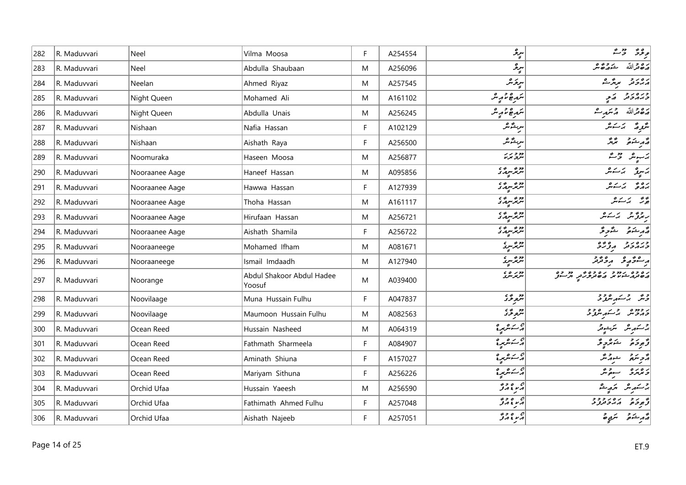| 282 | R. Maduvvari | <b>Neel</b>    | Vilma Moosa                         | F | A254554 | سرچر                                    | دومثر<br>  عر بحر دنج                                                                                                                                                                                                            |
|-----|--------------|----------------|-------------------------------------|---|---------|-----------------------------------------|----------------------------------------------------------------------------------------------------------------------------------------------------------------------------------------------------------------------------------|
| 283 | R. Maduvvari | Neel           | Abdulla Shaubaan                    | M | A256096 | سرچر                                    | برە تراللە<br>شەرچ ش                                                                                                                                                                                                             |
| 284 | R. Maduvvari | Neelan         | Ahmed Riyaz                         | M | A257545 | سرىخەشر                                 | أرور و مرکز                                                                                                                                                                                                                      |
| 285 | R. Maduvvari | Night Queen    | Mohamed Ali                         | M | A161102 | ىئەر <sub>غۇ</sub> ر ت <sub>وپى</sub> ر | و ره ر و<br><i>و پر ه</i> د تر<br>ەئىپ                                                                                                                                                                                           |
| 286 | R. Maduvvari | Night Queen    | Abdulla Unais                       | M | A256245 | يئىرغ ئىمرىتر                           | مَصْعَرِ اللَّهُ مُحْسَمِرٌ مِ                                                                                                                                                                                                   |
| 287 | R. Maduvvari | Nishaan        | Nafia Hassan                        | F | A102129 | سرىشەشر                                 | لترويج بمكتب                                                                                                                                                                                                                     |
| 288 | R. Maduvvari | Nishaan        | Aishath Raya                        | F | A256500 | سرىشەشر                                 | وأمر شنعو المرائر                                                                                                                                                                                                                |
| 289 | R. Maduvvari | Noomuraka      | Haseen Moosa                        | M | A256877 | دد و بر ر<br>سرچ بر ر                   | ىرىيە ئەس                                                                                                                                                                                                                        |
| 290 | R. Maduvvari | Nooraanee Aage | Haneef Hassan                       | M | A095856 | دو پر پرولو<br>سرچرسرمر <sub>ی</sub>    | ىكسروا كاسكانكر                                                                                                                                                                                                                  |
| 291 | R. Maduvvari | Nooraanee Aage | Hawwa Hassan                        | F | A127939 | دو د د په<br>سرپرسرد د                  | رەپ رىك                                                                                                                                                                                                                          |
| 292 | R. Maduvvari | Nooraanee Aage | Thoha Hassan                        | M | A161117 | دو پر پره<br>سرچرسرو د                  | ۇر برگىر                                                                                                                                                                                                                         |
| 293 | R. Maduvvari | Nooraanee Aage | Hirufaan Hassan                     | M | A256721 | دور پر دی<br>مربر مربرد د               | بەللەر ئەسكەنلەر                                                                                                                                                                                                                 |
| 294 | R. Maduvvari | Nooraanee Aage | Aishath Shamila                     | F | A256722 | دو پر پره<br>سرچرسرو د                  | وكرمشكم الشروق                                                                                                                                                                                                                   |
| 295 | R. Maduvvari | Nooraaneege    | Mohamed Ifham                       | M | A081671 | بىر ئۆسەي<br>سرىئەسىيە                  | כנים נפיים הפיים                                                                                                                                                                                                                 |
| 296 | R. Maduvvari | Nooraaneege    | Ismail Imdaadh                      | M | A127940 | دور<br>سربر سری                         | ر شۇرۇ روشۇر                                                                                                                                                                                                                     |
| 297 | R. Maduvvari | Noorange       | Abdul Shakoor Abdul Hadee<br>Yoosuf | M | A039400 | دور ه ،<br>سرپرسری                      | ر ۵ و ۵ ر دد د پر ۵ وه د پر دد و ۵<br>پره تر پر شونډ پر پر پر تر پر سر بر                                                                                                                                                        |
| 298 | R. Maduvvari | Noovilaage     | Muna Hussain Fulhu                  | F | A047837 | دو په په<br>سرچ مر                      | 32 جسم مقرم محمد محمد محمد محمد المحمد من المحمد المحمد المحمد السياسية المحمد المحمد المحمد المحمد المحمد الم<br>المحمد المحمد المحمد المحمد المحمد المحمد المحمد المحمد المحمد المحمد المحمد المحمد المحمد المحمد المحمد المحم |
| 299 | R. Maduvvari | Noovilaage     | Maumoon Hussain Fulhu               | M | A082563 | دو پرې<br>سرعر پرې                      |                                                                                                                                                                                                                                  |
| 300 | R. Maduvvari | Ocean Reed     | Hussain Nasheed                     | M | A064319 | م سەھ <sub>ى</sub> رى                   | 2سكىرىش سىشىر<br>                                                                                                                                                                                                                |
| 301 | R. Maduvvari | Ocean Reed     | Fathmath Sharmeela                  | F | A084907 | لتمسك يدعي                              | أقرم وحريج والمحمومة                                                                                                                                                                                                             |
| 302 | R. Maduvvari | Ocean Reed     | Aminath Shiuna                      | F | A157027 | ئەسەئىرىيە<br>                          | أأترجع والمستفرين                                                                                                                                                                                                                |
| 303 | R. Maduvvari | Ocean Reed     | Mariyam Sithuna                     | F | A256226 | رم که عرب و                             | و وړه سوه ش                                                                                                                                                                                                                      |
| 304 | R. Maduvvari | Orchid Ufaa    | Hussain Yaeesh                      | M | A256590 | ار<br>اړسو په دنو                       | جرستمر شر مرتبه مشر                                                                                                                                                                                                              |
| 305 | R. Maduvvari | Orchid Ufaa    | Fathimath Ahmed Fulhu               | F | A257048 | ە بە دەپىر<br>مەبىيە مەن                | ژُبودَه پرورود                                                                                                                                                                                                                   |
| 306 | R. Maduvvari | Orchid Ufaa    | Aishath Najeeb                      | F | A257051 | ە مەدەبىر<br>مەدىر                      | أقرم شكوته أسترجي فلي                                                                                                                                                                                                            |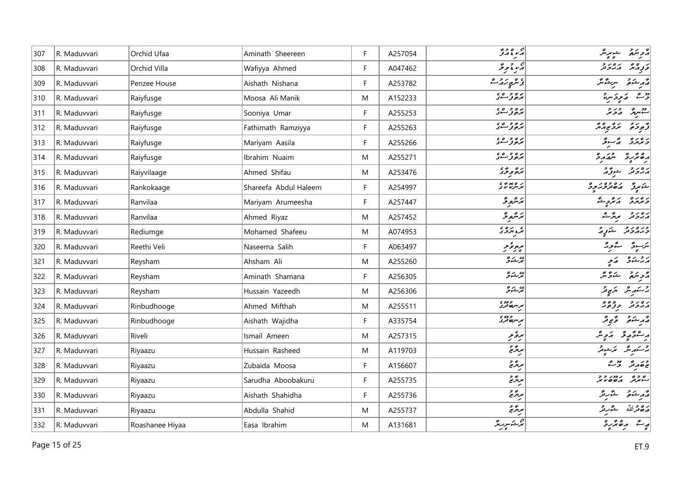| 307 | R. Maduvvari | Orchid Ufaa     | Aminath Sheereen      | F         | A257054 |                                    | ومحر سرد<br>شوبورنگر<br><u>په په</u>                      |
|-----|--------------|-----------------|-----------------------|-----------|---------|------------------------------------|-----------------------------------------------------------|
| 308 | R. Maduvvari | Orchid Villa    | Wafiyya Ahmed         | F         | A047462 | لأبرج وبخر                         | ءَ وِ ۾ پُر<br>بر ہ بر د<br>م <i>ر</i> بر <del>د</del> تر |
| 309 | R. Maduvvari | Penzee House    | Aishath Nishana       | F         | A253782 | ن <i>ې شمېر ئە</i> رمىشە           | سرڪرمگر<br>و مر شو د<br>م                                 |
| 310 | R. Maduvvari | Raiyfusge       | Moosa Ali Manik       | M         | A152233 | بره د ه ،<br>بر <sub>گ</sub> ون سو | دين شهر<br>ە ئېرىخ سرىتى                                  |
| 311 | R. Maduvvari | Raiyfusge       | Sooniya Umar          | F         | A255253 | بره د ه ،<br>بر <sub>گ</sub> ون سو | و ر و<br>در د بر<br>لشهر                                  |
| 312 | R. Maduvvari | Raiyfusge       | Fathimath Ramziyya    | F         | A255263 | ر ه د ه ،<br>بر <sub>حو</sub> ن سو | ىر <i>ۋې م</i> ەر<br>و مر د<br>تر مور می                  |
| 313 | R. Maduvvari | Raiyfusge       | Mariyam Aasila        | F         | A255266 | بره د ه ،<br>بر <sub>گ</sub> ون سو | ر ه ر ه<br><del>ر</del> بربرگر<br>رژ-ځ                    |
| 314 | R. Maduvvari | Raiyfusge       | Ibrahim Nuaim         | ${\sf M}$ | A255271 | ر ه د ه ه<br>بروز سر               | سمەمەر<br>ە ھەترىر <sup>ە</sup>                           |
| 315 | R. Maduvvari | Raiyvilaage     | Ahmed Shifau          | ${\sf M}$ | A253476 | ىرە ھەتىمى                         | ر ه ر د<br>د پر <del>د</del> تر<br>$23 -$                 |
| 316 | R. Maduvvari | Rankokaage      | Shareefa Abdul Haleem | F         | A254997 | ر ٥ × ٥ ي<br>برس د د د             | ره وه ر <sub>و</sub> ه<br>پره ترور پرو<br>ىشەمبرۇگ<br>س   |
| 317 | R. Maduvvari | Ranvilaa        | Mariyam Arumeesha     | F         | A257447 | ىرىثرە قر                          |                                                           |
| 318 | R. Maduvvari | Ranvilaa        | Ahmed Riyaz           | M         | A257452 | برمرمرځ                            | رەرد پەر                                                  |
| 319 | R. Maduvvari | Rediumge        | Mohamed Shafeeu       | ${\sf M}$ | A074953 | ړ ده د<br>مربو د                   | شەر چ<br>و ره ر و<br><i>و پر</i> و تر                     |
| 320 | R. Maduvvari | Reethi Veli     | Naseema Salih         | F         | A063497 | ىرە <sub>ۋ</sub> ۇر                | ىر<br>مىزسىرى<br>ستزور                                    |
| 321 | R. Maduvvari | Reysham         | Ahsham Ali            | M         | A255260 | ے پر ہ<br>مرشد و                   | أرجي شنو الأمو                                            |
| 322 | R. Maduvvari | Reysham         | Aminath Shamana       | F         | A256305 | بۇيدە                              | ىشە <del>د</del> ئىگر<br>أرمز                             |
| 323 | R. Maduvvari | Reysham         | Hussain Yazeedh       | ${\sf M}$ | A256306 | بۇيدە                              | 2سىمبەش مەمب <sub>ى</sub> قە                              |
| 324 | R. Maduvvari | Rinbudhooge     | Ahmed Mifthah         | M         | A255511 | و وو د<br>مرس پرور                 | גםגב בנפי                                                 |
| 325 | R. Maduvvari | Rinbudhooge     | Aishath Wajidha       | F         | A335754 | و وو د<br>مرس پرور                 | وم المستوفر المستحقين                                     |
| 326 | R. Maduvvari | Riveli          | Ismail Ameen          | M         | A257315 | برءثر                              | برحۇم ئەچ                                                 |
| 327 | R. Maduvvari | Riyaazu         | Hussain Rasheed       | ${\sf M}$ | A119703 | بو پر<br>مرم                       |                                                           |
| 328 | R. Maduvvari | Riyaazu         | Zubaida Moosa         | F         | A156607 | بو پر<br>مرم                       | ور مگر<br>مح کھر مگر<br>د عثر                             |
| 329 | R. Maduvvari | Riyaazu         | Sarudha Aboobakuru    | F         | A255735 | بر پڑ د<br>مر                      | د وه د دور و و<br>سنوتر اړه ه لا                          |
| 330 | R. Maduvvari | Riyaazu         | Aishath Shahidha      | F         | A255736 | بر پڑ د<br>مر                      | أقرم شوقه الشورقر                                         |
| 331 | R. Maduvvari | Riyaazu         | Abdulla Shahid        | ${\sf M}$ | A255737 | بر پڑ د<br>مرمز م                  | بر25 الله<br>ستنگر رقر                                    |
| 332 | R. Maduvvari | Roashanee Hiyaa | Easa Ibrahim          | M         | A131681 | ە<br>ئىرىشە بىرىر بىر              | ويش وەغرىرى                                               |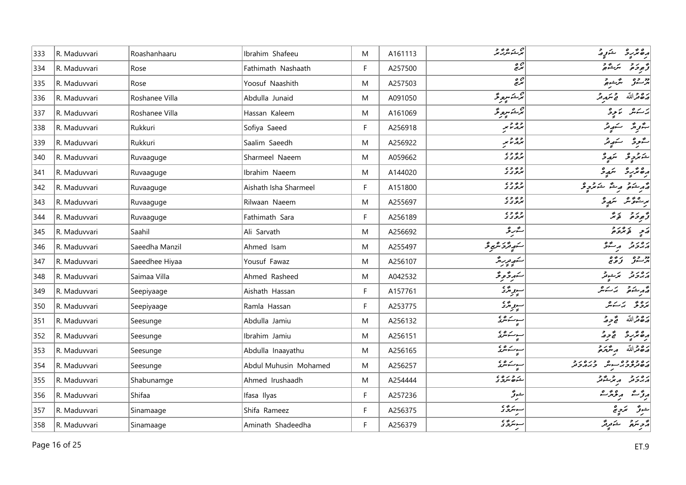| 333 | R. Maduvvari  | Roashanhaaru   | Ibrahim Shafeeu       | M         | A161113 | ەر يەھ بور<br>ئىرىشەنلەر <i>ى</i> رىپە | رە ئ <sup>ۆ</sup> رۈ<br>ے وگر                                                                                 |
|-----|---------------|----------------|-----------------------|-----------|---------|----------------------------------------|---------------------------------------------------------------------------------------------------------------|
| 334 | R. Maduvvari  | Rose           | Fathimath Nashaath    | F         | A257500 | اح ہ                                   | أوجوده سكندة                                                                                                  |
| 335 | R. Maduvvari  | Rose           | Yoosuf Naashith       | ${\sf M}$ | A257503 | $\overline{\mathcal{E}}$               | در ده<br>تر سور گرشوچ                                                                                         |
| 336 | R. Maduvvari  | Roshanee Villa | Abdulla Junaid        | M         | A091050 | ئۇينەس <sub>ى</sub> بورىگە             | مَدْهُ قَدْاللّه فَي سَمِهِ قَدْ                                                                              |
| 337 | R. Maduvvari  | Roshanee Villa | Hassan Kaleem         | ${\sf M}$ | A161069 | ئۇينى <i>مىتوپى</i> ر                  | ىزىكىش كەنچە                                                                                                  |
| 338 | IR. Maduvvari | Rukkuri        | Sofiya Saeed          | F         | A256918 | وه و<br>موړ ته مو                      | جۇرگە سەرپىر                                                                                                  |
| 339 | R. Maduvvari  | Rukkuri        | Saalim Saeedh         | M         | A256922 | برە ئەبىر                              | سەرو سەرە                                                                                                     |
| 340 | R. Maduvvari  | Ruvaaguge      | Sharmeel Naeem        | ${\sf M}$ | A059662 | و بر و ،<br>بوره د د                   | شكرو كالمرو                                                                                                   |
| 341 | R. Maduvvari  | Ruvaaguge      | Ibrahim Naeem         | ${\sf M}$ | A144020 | و بر و ،<br>بورگا ی                    |                                                                                                               |
| 342 | R. Maduvvari  | Ruvaaguge      | Aishath Isha Sharmeel | F         | A151800 | و بر و ،<br>بوره ی                     | ۇرىشق مەڭ شكروگ                                                                                               |
| 343 | R. Maduvvari  | Ruvaaguge      | Rilwaan Naeem         | M         | A255697 | و پر و ء<br>بوره ی                     | ىر شەھ ئىر ئىكتى ئىكتى ئىكتاب ئىكتاب ئىكتاب ئىكتاب ئىكتاب ئىكتاب ئىكتاب ئىكتاب ئىكتاب ئىكتاب ئىكتاب ئىكتاب ئى |
| 344 | R. Maduvvari  | Ruvaaguge      | Fathimath Sara        | F         | A256189 | و پر و د<br>بوره و و                   | قهوجهم فحقتم                                                                                                  |
| 345 | R. Maduvvari  | Saahil         | Ali Sarvath           | M         | A256692 | سەرىۋ                                  | أوسمج والمحروم                                                                                                |
| 346 | R. Maduvvari  | Saeedha Manzil | Ahmed Isam            | ${\sf M}$ | A255497 | سەر تەركىزى ئىر ئى                     | أرەر د مەر                                                                                                    |
| 347 | R. Maduvvari  | Saeedhee Hiyaa | Yousuf Fawaz          | M         | A256107 | سەر بەر بەر<br>ئىقتىقىنىشىشى           | ىر ئەرە<br>توخ <sup>ى</sup><br>دد حره<br>در سرو                                                               |
| 348 | R. Maduvvari  | Saimaa Villa   | Ahmed Rasheed         | ${\sf M}$ | A042532 | سەر ئە ئە                              | أرور و مردور                                                                                                  |
| 349 | R. Maduvvari  | Seepiyaage     | Aishath Hassan        | F         | A157761 | ا سوپو پرچ<br>اسوپو پرچ                | لقهر يندعه برسكتكر                                                                                            |
| 350 | R. Maduvvari  | Seepiyaage     | Ramla Hassan          | F         | A253775 | سه پو پرې<br>په تر پرې                 | ىرۋۇ بەسكىر                                                                                                   |
| 351 | R. Maduvvari  | Seesunge       | Abdulla Jamiu         | M         | A256132 | اب مەنگەندى<br>پە                      | أرَّة مَّرَ اللَّهُ فَيَّ حِيضً                                                                               |
| 352 | R. Maduvvari  | Seesunge       | Ibrahim Jamiu         | ${\sf M}$ | A256151 | اسوستعليمه                             |                                                                                                               |
| 353 | IR. Maduvvari | Seesunge       | Abdulla Inaayathu     | M         | A256165 | اب مەنتەتلەر<br>پە                     | مَدْهَ مَّذَاللَّهُ مِسْتَعْرَمُ                                                                              |
| 354 | R. Maduvvari  | Seesunge       | Abdul Muhusin Mohamed | ${\sf M}$ | A256257 | سوسەھدى                                | קספספס הם פקסקפ<br>הסט <i>פפרג –</i> יית כ <i>ה</i> הכט                                                       |
| 355 | R. Maduvvari  | Shabunamge     | Ahmed Irushaadh       | ${\sf M}$ | A254444 | شەھ سرچ ي                              | رەرو بەرشگەر<br>مەرىر بەرشگەر                                                                                 |
| 356 | R. Maduvvari  | Shifaa         | Ifasa Ilyas           | F         | A257236 | شوترٌ                                  | أبرق شه وبحدثت                                                                                                |
| 357 | R. Maduvvari  | Sinamaage      | Shifa Rameez          | F         | A256375 | سوپىرى                                 | حوق م <i>حرج</i>                                                                                              |
| 358 | R. Maduvvari  | Sinamaage      | Aminath Shadeedha     | F         | A256379 | سەپىرى<br>بە                           | د و سَرَمْ شَرْ وَرِ دَرْ                                                                                     |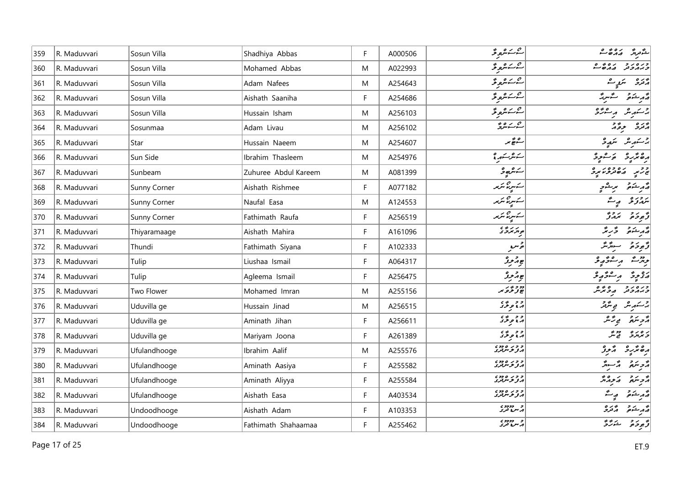| 359 | R. Maduvvari | Sosun Villa  | Shadhiya Abbas       | F         | A000506 | ح سەمبىرىگى<br>سىسىمبىرىگىر               | 2501<br> شورېژ                                   |
|-----|--------------|--------------|----------------------|-----------|---------|-------------------------------------------|--------------------------------------------------|
| 360 | R. Maduvvari | Sosun Villa  | Mohamed Abbas        | M         | A022993 | <u>مەسە ئەر</u>                           | رەپچە<br>و ر ه ر د<br><i>و بر</i> پر تر          |
| 361 | R. Maduvvari | Sosun Villa  | Adam Nafees          | M         | A254643 | استهشفوتم                                 | پژ <sub>مر</sub> ه<br>درگر<br>سَمَدٍ کے          |
| 362 | R. Maduvvari | Sosun Villa  | Aishath Saaniha      | F         | A254686 | <u>م ئەسرىرى ئى</u>                       | پ <sup>ر</sup> در شکوه<br>در کشکوهی<br>سەّسرىر   |
| 363 | R. Maduvvari | Sosun Villa  | Hussain Isham        | M         | A256103 | <u>شر سەھرىم</u> ۇ                        | جرسكرمثر أرتفتر                                  |
| 364 | R. Maduvvari | Sosunmaa     | Adam Livau           | ${\sf M}$ | A256102 | <u>شر بە ھەت</u> خە                       | أدره ودور                                        |
| 365 | R. Maduvvari | Star         | Hussain Naeem        | ${\sf M}$ | A254607 | ے بج بر                                   | جاسكمر شكر الكريدة                               |
| 366 | R. Maduvvari | Sun Side     | Ibrahim Thasleem     | ${\sf M}$ | A254976 | ئەنەر ئى <sub>دە</sub> م                  | دەندرو مەمود                                     |
| 367 | R. Maduvvari | Sunbeam      | Zuhuree Abdul Kareem | M         | A081399 | سەمپەر                                    | בכת הסיניכלת                                     |
| 368 | R. Maduvvari | Sunny Corner | Aishath Rishmee      | F         | A077182 | ا سەمبەر<br>— ق                           |                                                  |
| 369 | R. Maduvvari | Sunny Corner | Naufal Easa          | M         | A124553 | سەسرىئا مىزىر                             | بىردى پەت                                        |
| 370 | R. Maduvvari | Sunny Corner | Fathimath Raufa      | F         | A256519 |                                           | بروي<br>ۇ بور د                                  |
| 371 | R. Maduvvari | Thiyaramaage | Aishath Mahira       | F         | A161096 | امویز بروی                                | وأرجنتمو المحرار                                 |
| 372 | R. Maduvvari | Thundi       | Fathimath Siyana     | F         | A102333 | قحرسعر                                    | رًّمُودَةً سِيرَتَّرَ                            |
| 373 | R. Maduvvari | Tulip        | Liushaa Ismail       | F         | A064317 | جوړېږ                                     | لروديم برعوقهو                                   |
| 374 | R. Maduvvari | Tulip        | Agleema Ismail       | F         | A256475 | <br>  ع <sub>د</sub> تر بر                | وسنتجوج<br>لەتى يەچە                             |
| 375 | R. Maduvvari | Two Flower   | Mohamed Imran        | ${\sf M}$ | A255156 | دد و بر ر<br>ج تو څرمو بر                 | ورەرو ھەمھىر                                     |
| 376 | R. Maduvvari | Uduvilla ge  | Hussain Jinad        | ${\sf M}$ | A256515 | د د پر ،<br>مرغور                         | برسكريش ويتزفر                                   |
| 377 | R. Maduvvari | Uduvilla ge  | Aminath Jihan        | F         | A256611 | د د په په<br>مروڅونه                      | أترجنهم ويحتر                                    |
| 378 | R. Maduvvari | Uduvilla ge  | Mariyam Joona        | F         | A261389 | د د په په<br> مروغ د                      | دد مر<br>قع سگر<br>ر ه ر ه<br><del>و</del> بربرو |
| 379 | R. Maduvvari | Ufulandhooge | Ibrahim Aalif        | M         | A255576 | و و ر ه وو ،<br>  پر تو سربر <sub>ک</sub> | رە ئۈر ئەرۋ                                      |
| 380 | R. Maduvvari | Ufulandhooge | Aminath Aasiya       | F         | A255582 | د در ه دد ،<br>پرتومبرد .                 | ومحر سكرة والمسترار                              |
| 381 | R. Maduvvari | Ufulandhooge | Aminath Aliyya       | F         | A255584 | د د د د ده ده<br>پروتوس                   | أزويتم أأتروه                                    |
| 382 | R. Maduvvari | Ufulandhooge | Aishath Easa         | F         | A403534 | د د د د ده ده<br>پرنو توسیر               | و د شوه و په                                     |
| 383 | R. Maduvvari | Undoodhooge  | Aishath Adam         | F         | A103353 | و دودون<br>هرس تور                        | پور ہ<br>مرکز<br>و مر به در د<br>مر              |
| 384 | R. Maduvvari | Undoodhooge  | Fathimath Shahaamaa  | F         | A255462 | و سردوو تا<br>هر سرع توری                 | و دو شرور                                        |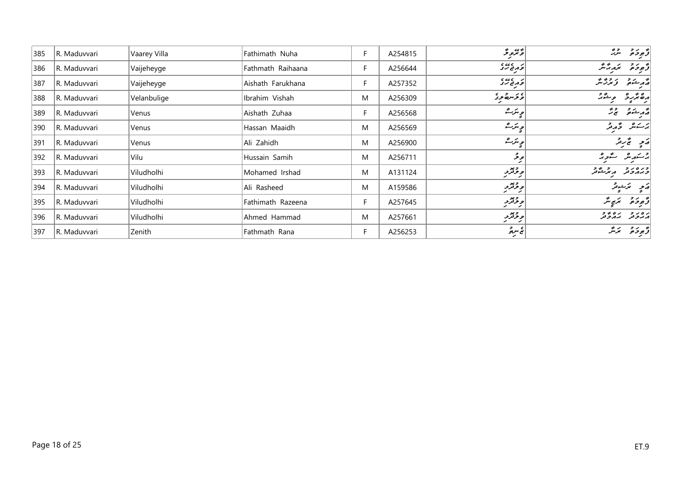| 385 | R. Maduvvari  | Vaarey Villa | Fathimath Nuha    | F  | A254815 | پي په پچ                | ىترتر<br>ا تو پر د<br>اگر چونخو                       |
|-----|---------------|--------------|-------------------|----|---------|-------------------------|-------------------------------------------------------|
| 386 | R. Maduvvari  | Vaijeheyge   | Fathmath Raihaana | F  | A256644 | ر<br>ح د قع ر د         | ىمەر ئەنگە<br>وٌ جر حر حر                             |
| 387 | R. Maduvvari  | Vaijeheyge   | Aishath Farukhana | F. | A257352 | ر<br>ح د قع ر د         | ەر ئەرەسى ئۇ ئىرىشىگە                                 |
| 388 | R. Maduvvari  | Velanbulige  | Ibrahim Vishah    | M  | A256309 | ع تر سرچ و <sup>ج</sup> | ەھ ئ <sup>ۆ</sup> ر ۋ<br>ح مشتر ثر                    |
| 389 | IR. Maduvvari | Venus        | Aishath Zuhaa     | F. | A256568 | اءِ يئر ٿ               | و در شکوه در در د                                     |
| 390 | IR. Maduvvari | Venus        | Hassan Maaidh     | M  | A256569 | اءيترته                 | پرسکس د څه مر                                         |
| 391 | R. Maduvvari  | Venus        | Ali Zahidh        | M  | A256900 | ءِ سَرَتْہ              | ړی پخ روژ                                             |
| 392 | R. Maduvvari  | Vilu         | Hussain Samih     | M  | A256711 | حرقحر                   | ستھور پ<br>جر <u>س</u> ئەمەسىر                        |
| 393 | R. Maduvvari  | Viludholhi   | Mohamed Irshad    | M  | A131124 | وتزقرو                  | وره دو و و و و                                        |
| 394 | R. Maduvvari  | Viludholhi   | Ali Rasheed       | M  | A159586 | وقرقرىز                 | أركمني المركب وتر                                     |
| 395 | R. Maduvvari  | Viludholhi   | Fathimath Razeena | F. | A257645 | و څمنرمو                | ا ژه د ده.<br>ىمرىم مىگر                              |
| 396 | R. Maduvvari  | Viludholhi   | Ahmed Hammad      | M  | A257661 | وتزغز                   | بر 2 پر ج<br>مربر <del>ق</del> ر<br>بره ۶ و<br>برگرگر |
| 397 | R. Maduvvari  | Zenith       | Fathmath Rana     | F. | A256253 | ے سرچ<br>س              | ا تو بر د<br>ارگېږ د کا<br>ىمەتىر                     |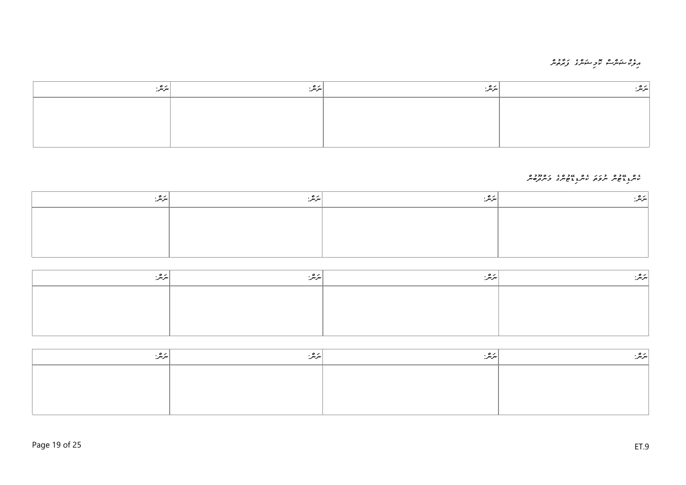## *w7qAn8m?sCw7mRo>u;wEw7mRw;sBo<*

| ' مرمر | 'يئرىثر: |
|--------|----------|
|        |          |
|        |          |
|        |          |

## *w7q9r@w7m>sCw7qHtFoFw7s;mAm=q7w7qHtFoFw7s;*

| يئرمىش: | $^{\circ}$<br>. سر سر<br>$\cdot$ | $\circ$ $\sim$<br>-- | يئرمثر |
|---------|----------------------------------|----------------------|--------|
|         |                                  |                      |        |
|         |                                  |                      |        |
|         |                                  |                      |        |

| انترنثر: | $^{\circ}$ | يبرهر | $^{\circ}$<br>سرسر |
|----------|------------|-------|--------------------|
|          |            |       |                    |
|          |            |       |                    |
|          |            |       |                    |

| ىرتىر: | 。<br>سر سر | .,<br>مرسر |
|--------|------------|------------|
|        |            |            |
|        |            |            |
|        |            |            |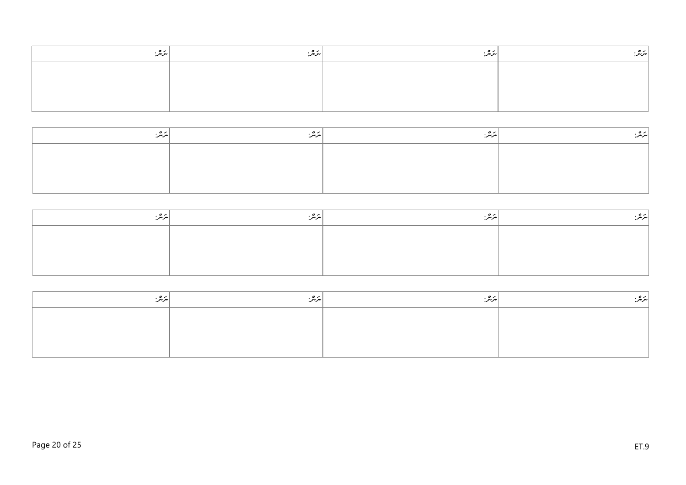| يزهر | $^{\circ}$ | ىئرىتر: |  |
|------|------------|---------|--|
|      |            |         |  |
|      |            |         |  |
|      |            |         |  |

| <sup>.</sup> سرسر. |  |
|--------------------|--|
|                    |  |
|                    |  |
|                    |  |

| ىئرىتر. | $\sim$ | ا بر هه. | لىرىش |
|---------|--------|----------|-------|
|         |        |          |       |
|         |        |          |       |
|         |        |          |       |

| 。<br>مرس. | $\overline{\phantom{a}}$<br>مر مىر | يتريثر |
|-----------|------------------------------------|--------|
|           |                                    |        |
|           |                                    |        |
|           |                                    |        |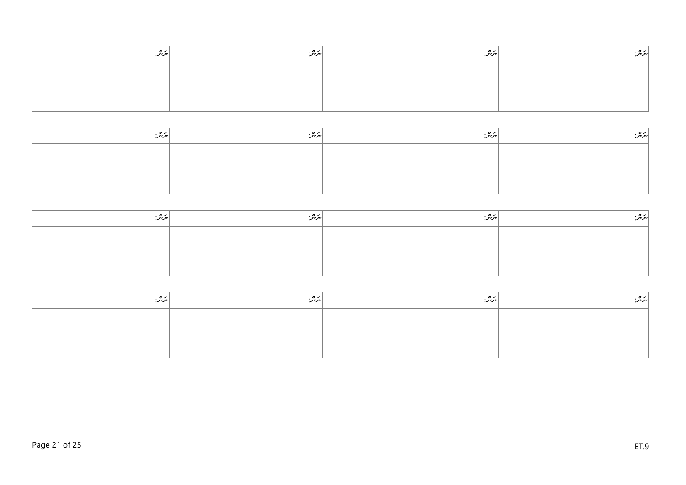| ير هو . | $\overline{\phantom{a}}$ | يرمر | اير هنه. |
|---------|--------------------------|------|----------|
|         |                          |      |          |
|         |                          |      |          |
|         |                          |      |          |

| ىر تىر: | $\circ$ $\sim$<br>" سرسر . | يترمير | o . |
|---------|----------------------------|--------|-----|
|         |                            |        |     |
|         |                            |        |     |
|         |                            |        |     |

| 'تترنثر: | 。<br>,,,, |  |
|----------|-----------|--|
|          |           |  |
|          |           |  |
|          |           |  |

|  | . ه |
|--|-----|
|  |     |
|  |     |
|  |     |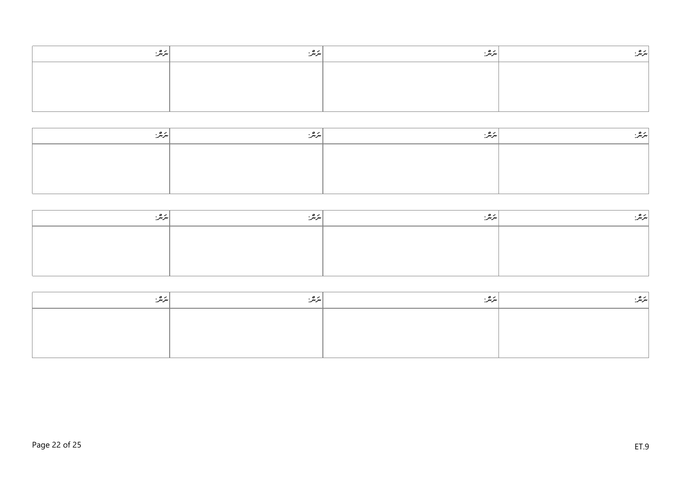| ير هو . | $\overline{\phantom{a}}$ | يرمر | اير هنه. |
|---------|--------------------------|------|----------|
|         |                          |      |          |
|         |                          |      |          |
|         |                          |      |          |

| ىر تىر: | $\circ$ $\sim$<br>" سرسر . | يترمير | o . |
|---------|----------------------------|--------|-----|
|         |                            |        |     |
|         |                            |        |     |
|         |                            |        |     |

| 'تترنثر: | ر ه |  |
|----------|-----|--|
|          |     |  |
|          |     |  |
|          |     |  |

|  | . ه |
|--|-----|
|  |     |
|  |     |
|  |     |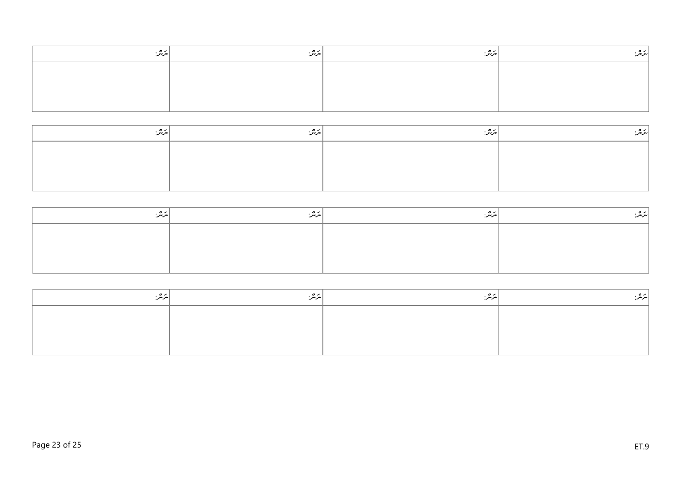| $\cdot$ | 。 | $\frac{\circ}{\cdot}$ | $\sim$<br>سرسر |
|---------|---|-----------------------|----------------|
|         |   |                       |                |
|         |   |                       |                |
|         |   |                       |                |

| يريثن | ' سرسر . |  |
|-------|----------|--|
|       |          |  |
|       |          |  |
|       |          |  |

| بر ه | . ه | $\sim$<br>سرسر |  |
|------|-----|----------------|--|
|      |     |                |  |
|      |     |                |  |
|      |     |                |  |

| 。<br>. س | ىرىىر |  |
|----------|-------|--|
|          |       |  |
|          |       |  |
|          |       |  |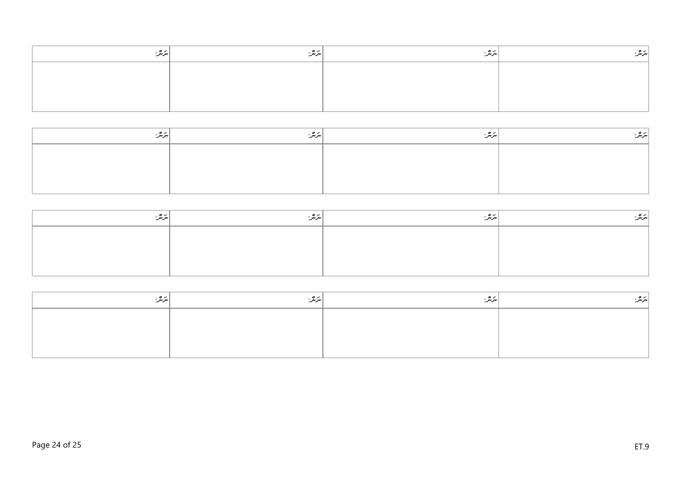| ير هو . | $\overline{\phantom{a}}$ | يرمر | اير هنه. |
|---------|--------------------------|------|----------|
|         |                          |      |          |
|         |                          |      |          |
|         |                          |      |          |

| ئىرتىر: | $\sim$<br>ا سرسر . | يئرمثر | o . |
|---------|--------------------|--------|-----|
|         |                    |        |     |
|         |                    |        |     |
|         |                    |        |     |

| انترنثر: | ر ه |  |
|----------|-----|--|
|          |     |  |
|          |     |  |
|          |     |  |

|  | . ه |
|--|-----|
|  |     |
|  |     |
|  |     |